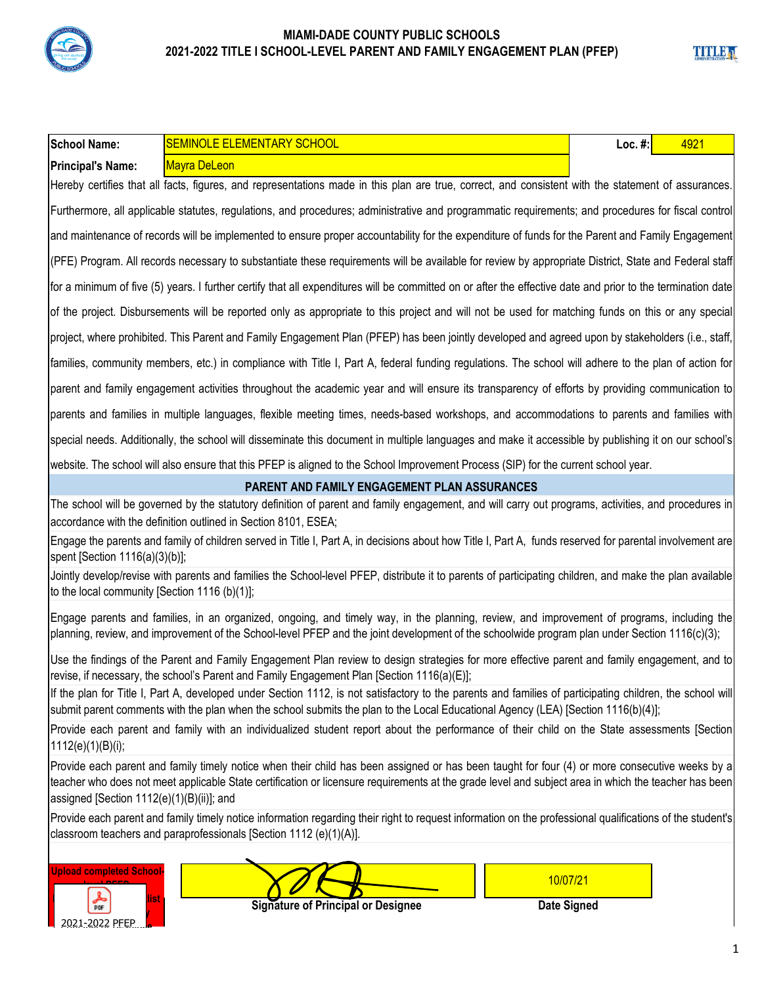

| <b>School Name:</b>                           | <b>SEMINOLE ELEMENTARY SCHOOL</b>                                                                                                                                                                                                                                                                      | Loc. $#$ : | 4921 |
|-----------------------------------------------|--------------------------------------------------------------------------------------------------------------------------------------------------------------------------------------------------------------------------------------------------------------------------------------------------------|------------|------|
| <b>Principal's Name:</b>                      | <b>Mayra DeLeon</b>                                                                                                                                                                                                                                                                                    |            |      |
|                                               | Hereby certifies that all facts, figures, and representations made in this plan are true, correct, and consistent with the statement of assurances.                                                                                                                                                    |            |      |
|                                               | Furthermore, all applicable statutes, regulations, and procedures; administrative and programmatic requirements; and procedures for fiscal control                                                                                                                                                     |            |      |
|                                               | and maintenance of records will be implemented to ensure proper accountability for the expenditure of funds for the Parent and Family Engagement                                                                                                                                                       |            |      |
|                                               | (PFE) Program. All records necessary to substantiate these requirements will be available for review by appropriate District, State and Federal staff                                                                                                                                                  |            |      |
|                                               | for a minimum of five (5) years. I further certify that all expenditures will be committed on or after the effective date and prior to the termination date                                                                                                                                            |            |      |
|                                               | of the project. Disbursements will be reported only as appropriate to this project and will not be used for matching funds on this or any special                                                                                                                                                      |            |      |
|                                               | project, where prohibited. This Parent and Family Engagement Plan (PFEP) has been jointly developed and agreed upon by stakeholders (i.e., staff,                                                                                                                                                      |            |      |
|                                               | families, community members, etc.) in compliance with Title I, Part A, federal funding regulations. The school will adhere to the plan of action for                                                                                                                                                   |            |      |
|                                               | parent and family engagement activities throughout the academic year and will ensure its transparency of efforts by providing communication to                                                                                                                                                         |            |      |
|                                               | parents and families in multiple languages, flexible meeting times, needs-based workshops, and accommodations to parents and families with                                                                                                                                                             |            |      |
|                                               | special needs. Additionally, the school will disseminate this document in multiple languages and make it accessible by publishing it on our school's                                                                                                                                                   |            |      |
|                                               | website. The school will also ensure that this PFEP is aligned to the School Improvement Process (SIP) for the current school year.                                                                                                                                                                    |            |      |
|                                               | <b>PARENT AND FAMILY ENGAGEMENT PLAN ASSURANCES</b>                                                                                                                                                                                                                                                    |            |      |
|                                               | The school will be governed by the statutory definition of parent and family engagement, and will carry out programs, activities, and procedures in<br>accordance with the definition outlined in Section 8101, ESEA;                                                                                  |            |      |
| spent [Section 1116(a)(3)(b)];                | Engage the parents and family of children served in Title I, Part A, in decisions about how Title I, Part A, funds reserved for parental involvement are                                                                                                                                               |            |      |
| to the local community [Section 1116 (b)(1)]; | Jointly develop/revise with parents and families the School-level PFEP, distribute it to parents of participating children, and make the plan available                                                                                                                                                |            |      |
|                                               | Engage parents and families, in an organized, ongoing, and timely way, in the planning, review, and improvement of programs, including the<br>planning, review, and improvement of the School-level PFEP and the joint development of the schoolwide program plan under Section 1116(c)(3);            |            |      |
|                                               | Use the findings of the Parent and Family Engagement Plan review to design strategies for more effective parent and family engagement, and to<br>revise, if necessary, the school's Parent and Family Engagement Plan [Section 1116(a)(E)];                                                            |            |      |
|                                               | If the plan for Title I, Part A, developed under Section 1112, is not satisfactory to the parents and families of participating children, the school will<br>submit parent comments with the plan when the school submits the plan to the Local Educational Agency (LEA) [Section 1116(b)(4)];         |            |      |
| 1112(e)(1)(B)(i);                             | Provide each parent and family with an individualized student report about the performance of their child on the State assessments [Section                                                                                                                                                            |            |      |
| assigned [Section 1112(e)(1)(B)(ii)]; and     | Provide each parent and family timely notice when their child has been assigned or has been taught for four (4) or more consecutive weeks by a<br>teacher who does not meet applicable State certification or licensure requirements at the grade level and subject area in which the teacher has been |            |      |
|                                               | Provide each parent and family timely notice information regarding their right to request information on the professional qualifications of the student's<br>classroom teachers and paraprofessionals [Section 1112 (e)(1)(A)].                                                                        |            |      |
| <b>Upload completed School-</b>               | 10/07/21                                                                                                                                                                                                                                                                                               |            |      |

**DOF signed** and date of  $\overline{a}$ **Principal or Desginee**  2021-2022 PFEP

 **Signature of Principal or Designee**

**Date Signed**

**TITLE A**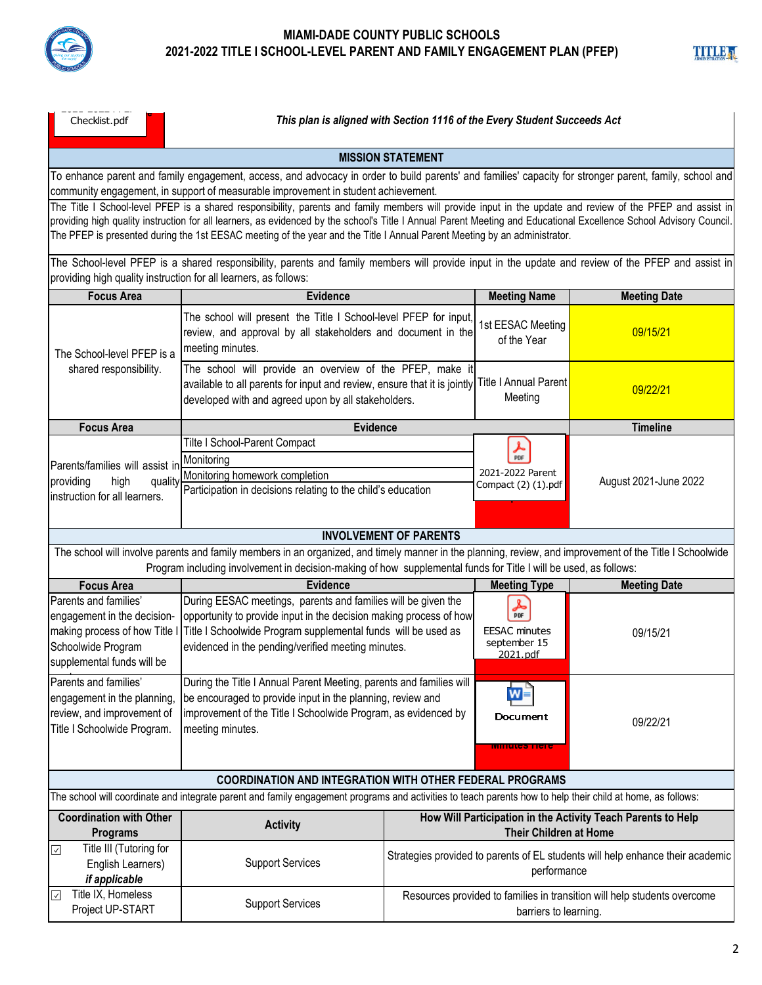

| TITLE,                     |  |  |  |
|----------------------------|--|--|--|
| <b>ADMINISTRATION-HILL</b> |  |  |  |

| Checklist.pdf |  |
|---------------|--|
|---------------|--|

*This plan is aligned with Section 1116 of the Every Student Succeeds Act* 

### **MISSION STATEMENT**

To enhance parent and family engagement, access, and advocacy in order to build parents' and families' capacity for stronger parent, family, school and community engagement, in support of measurable improvement in student achievement.

The Title I School-level PFEP is a shared responsibility, parents and family members will provide input in the update and review of the PFEP and assist in providing high quality instruction for all learners, as evidenced by the school's Title I Annual Parent Meeting and Educational Excellence School Advisory Council. The PFEP is presented during the 1st EESAC meeting of the year and the Title I Annual Parent Meeting by an administrator.

The School-level PFEP is a shared responsibility, parents and family members will provide input in the update and review of the PFEP and assist in providing high quality instruction for all learners, as follows:

| <b>Focus Area</b>                                                                                                                                                                                                                                                            | <b>Evidence</b>                                                                                                                                                                                                                                            |                                                                                                   | <b>Meeting Name</b>                                                       | <b>Meeting Date</b>   |
|------------------------------------------------------------------------------------------------------------------------------------------------------------------------------------------------------------------------------------------------------------------------------|------------------------------------------------------------------------------------------------------------------------------------------------------------------------------------------------------------------------------------------------------------|---------------------------------------------------------------------------------------------------|---------------------------------------------------------------------------|-----------------------|
| The School-level PFEP is a                                                                                                                                                                                                                                                   | The school will present the Title I School-level PFEP for input<br>review, and approval by all stakeholders and document in the<br>meeting minutes.                                                                                                        |                                                                                                   | 1st EESAC Meeting<br>of the Year                                          | 09/15/21              |
| shared responsibility.                                                                                                                                                                                                                                                       | The school will provide an overview of the PFEP, make it<br>available to all parents for input and review, ensure that it is jointly<br>developed with and agreed upon by all stakeholders.                                                                |                                                                                                   | <b>Title I Annual Parent</b><br>Meeting                                   | 09/22/21              |
| <b>Focus Area</b>                                                                                                                                                                                                                                                            | Evidence                                                                                                                                                                                                                                                   |                                                                                                   |                                                                           | <b>Timeline</b>       |
| Parents/families will assist in<br>providing<br>high<br>quality<br>instruction for all learners.                                                                                                                                                                             | Tilte I School-Parent Compact<br>Monitoring<br>Monitoring homework completion<br>Participation in decisions relating to the child's education                                                                                                              |                                                                                                   | PDF<br>2021-2022 Parent<br>Compact (2) (1).pdf                            | August 2021-June 2022 |
|                                                                                                                                                                                                                                                                              |                                                                                                                                                                                                                                                            | <b>INVOLVEMENT OF PARENTS</b>                                                                     |                                                                           |                       |
| The school will involve parents and family members in an organized, and timely manner in the planning, review, and improvement of the Title I Schoolwide<br>Program including involvement in decision-making of how supplemental funds for Title I will be used, as follows: |                                                                                                                                                                                                                                                            |                                                                                                   |                                                                           |                       |
| <b>Focus Area</b>                                                                                                                                                                                                                                                            | <b>Evidence</b>                                                                                                                                                                                                                                            |                                                                                                   | <b>Meeting Type</b>                                                       | <b>Meeting Date</b>   |
| Parents and families'<br>engagement in the decision-<br>making process of how Title I<br>Schoolwide Program<br>supplemental funds will be                                                                                                                                    | During EESAC meetings, parents and families will be given the<br>opportunity to provide input in the decision making process of how<br>Title I Schoolwide Program supplemental funds will be used as<br>evidenced in the pending/verified meeting minutes. |                                                                                                   | $\frac{1}{\rho_{DF}}$<br><b>EESAC</b> minutes<br>september 15<br>2021.pdf | 09/15/21              |
| Parents and families'<br>engagement in the planning,<br>review, and improvement of<br>Title I Schoolwide Program.                                                                                                                                                            | During the Title I Annual Parent Meeting, parents and families will<br>be encouraged to provide input in the planning, review and<br>improvement of the Title I Schoolwide Program, as evidenced by<br>meeting minutes.                                    |                                                                                                   | W<br>Document<br>wimutes Fier                                             | 09/22/21              |
|                                                                                                                                                                                                                                                                              | <b>COORDINATION AND INTEGRATION WITH OTHER FEDERAL PROGRAMS</b>                                                                                                                                                                                            |                                                                                                   |                                                                           |                       |
|                                                                                                                                                                                                                                                                              | The school will coordinate and integrate parent and family engagement programs and activities to teach parents how to help their child at home, as follows:                                                                                                |                                                                                                   |                                                                           |                       |
| <b>Coordination with Other</b><br><b>Programs</b>                                                                                                                                                                                                                            | <b>Activity</b>                                                                                                                                                                                                                                            | How Will Participation in the Activity Teach Parents to Help<br><b>Their Children at Home</b>     |                                                                           |                       |
| Title III (Tutoring for<br>☑<br>English Learners)<br>if applicable                                                                                                                                                                                                           | <b>Support Services</b>                                                                                                                                                                                                                                    | Strategies provided to parents of EL students will help enhance their academic<br>performance     |                                                                           |                       |
| Title IX, Homeless<br>⊡<br>Project UP-START                                                                                                                                                                                                                                  | <b>Support Services</b>                                                                                                                                                                                                                                    | Resources provided to families in transition will help students overcome<br>barriers to learning. |                                                                           |                       |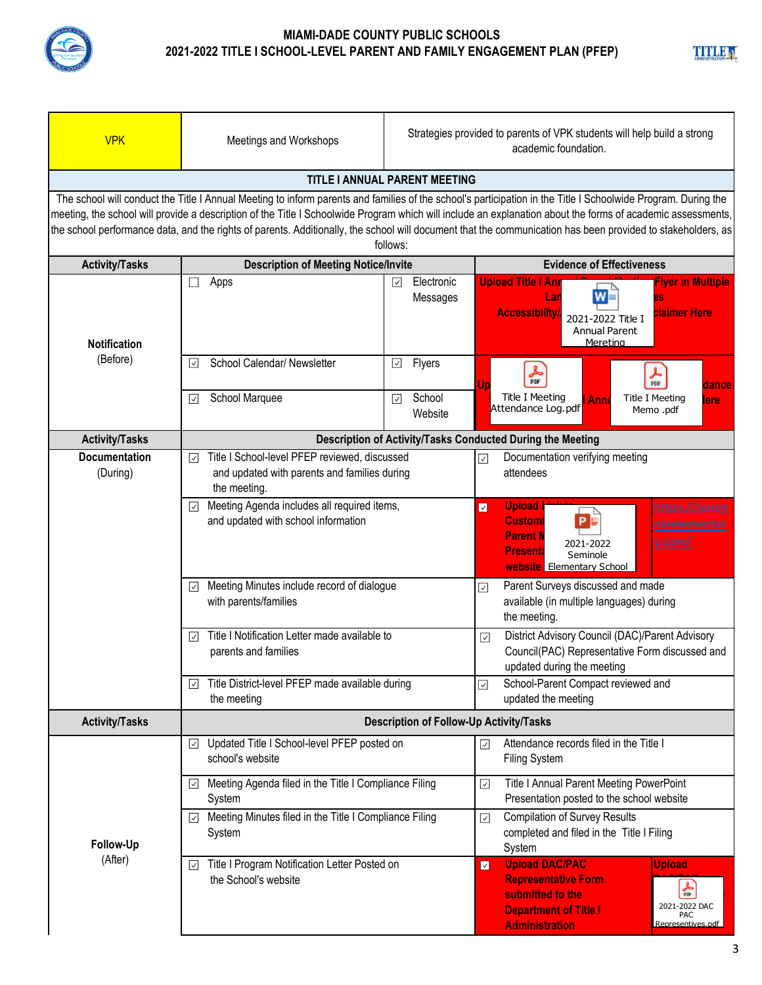

|       | П |  |
|-------|---|--|
| 1 I I |   |  |

| <b>VPK</b>                                                                                                                                                                                                                                                                                                                                                                                                                                                                                              | Meetings and Workshops                                                                                                              | Strategies provided to parents of VPK students will help build a strong<br>academic foundation. |                                                                                                                                                                                                                                       |  |
|---------------------------------------------------------------------------------------------------------------------------------------------------------------------------------------------------------------------------------------------------------------------------------------------------------------------------------------------------------------------------------------------------------------------------------------------------------------------------------------------------------|-------------------------------------------------------------------------------------------------------------------------------------|-------------------------------------------------------------------------------------------------|---------------------------------------------------------------------------------------------------------------------------------------------------------------------------------------------------------------------------------------|--|
|                                                                                                                                                                                                                                                                                                                                                                                                                                                                                                         |                                                                                                                                     | TITLE I ANNUAL PARENT MEETING                                                                   |                                                                                                                                                                                                                                       |  |
| The school will conduct the Title I Annual Meeting to inform parents and families of the school's participation in the Title I Schoolwide Program. During the<br>meeting, the school will provide a description of the Title I Schoolwide Program which will include an explanation about the forms of academic assessments,<br>the school performance data, and the rights of parents. Additionally, the school will document that the communication has been provided to stakeholders, as<br>follows: |                                                                                                                                     |                                                                                                 |                                                                                                                                                                                                                                       |  |
| <b>Activity/Tasks</b>                                                                                                                                                                                                                                                                                                                                                                                                                                                                                   | <b>Description of Meeting Notice/Invite</b>                                                                                         |                                                                                                 | <b>Evidence of Effectiveness</b>                                                                                                                                                                                                      |  |
| <b>Notification</b>                                                                                                                                                                                                                                                                                                                                                                                                                                                                                     | Apps<br>$\Box$                                                                                                                      | Electronic<br>☑<br>Messages                                                                     | <b>Upload Title I Anr</b><br><b>Iyer in Multiple</b><br>W≡<br>Lar<br><b>Claimer Here</b><br><b>Accessibility</b><br>2021-2022 Title I<br><b>Annual Parent</b><br>Mereting                                                             |  |
| (Before)                                                                                                                                                                                                                                                                                                                                                                                                                                                                                                | School Calendar/ Newsletter<br>$\overline{\mathsf{v}}$                                                                              | $\boxed{\checkmark}$<br>Flyers                                                                  | 훎<br>人<br>PDF<br>dance                                                                                                                                                                                                                |  |
|                                                                                                                                                                                                                                                                                                                                                                                                                                                                                                         | School Marquee<br>$ \!\vee\! $                                                                                                      | School<br>⊡<br>Website                                                                          | <b>Title I Meeting</b><br><b>Title I Meeting</b><br>Anni<br>lere<br>Attendance Log.pdf<br>Memo.pdf                                                                                                                                    |  |
| <b>Activity/Tasks</b>                                                                                                                                                                                                                                                                                                                                                                                                                                                                                   |                                                                                                                                     |                                                                                                 | Description of Activity/Tasks Conducted During the Meeting                                                                                                                                                                            |  |
| <b>Documentation</b><br>(During)                                                                                                                                                                                                                                                                                                                                                                                                                                                                        | Title I School-level PFEP reviewed, discussed<br>$\vert \vee \vert$<br>and updated with parents and families during<br>the meeting. |                                                                                                 | Documentation verifying meeting<br>$\boxed{\checkmark}$<br>attendees                                                                                                                                                                  |  |
|                                                                                                                                                                                                                                                                                                                                                                                                                                                                                                         | Meeting Agenda includes all required items,<br>$\vert\downarrow\vert$<br>and updated with school information                        |                                                                                                 | <b>Upload</b><br>https://semin<br>$\overline{\mathbf{v}}$<br><b>Customi</b><br>P.<br><b>oleelementar</b><br><b>Parent N</b><br><u>y.com/</u><br>2021-2022<br><b>Presenta</b><br>Seminole<br><b>website</b> Elementary School          |  |
|                                                                                                                                                                                                                                                                                                                                                                                                                                                                                                         | Meeting Minutes include record of dialogue<br>$\overline{\le}$<br>with parents/families                                             |                                                                                                 | Parent Surveys discussed and made<br>$\overline{\vee}$<br>available (in multiple languages) during<br>the meeting.                                                                                                                    |  |
|                                                                                                                                                                                                                                                                                                                                                                                                                                                                                                         | Title I Notification Letter made available to<br>$\vert \vee \vert$<br>parents and families                                         |                                                                                                 | District Advisory Council (DAC)/Parent Advisory<br>$\overline{\vee}$<br>Council(PAC) Representative Form discussed and<br>updated during the meeting                                                                                  |  |
|                                                                                                                                                                                                                                                                                                                                                                                                                                                                                                         | Title District-level PFEP made available during<br>the meeting                                                                      |                                                                                                 | School-Parent Compact reviewed and<br>☑<br>updated the meeting                                                                                                                                                                        |  |
| <b>Activity/Tasks</b>                                                                                                                                                                                                                                                                                                                                                                                                                                                                                   | Description of Follow-Up Activity/Tasks                                                                                             |                                                                                                 |                                                                                                                                                                                                                                       |  |
|                                                                                                                                                                                                                                                                                                                                                                                                                                                                                                         | Updated Title I School-level PFEP posted on<br>$\sqrt{}$<br>school's website                                                        |                                                                                                 | Attendance records filed in the Title I<br>☑<br><b>Filing System</b>                                                                                                                                                                  |  |
|                                                                                                                                                                                                                                                                                                                                                                                                                                                                                                         | Meeting Agenda filed in the Title I Compliance Filing<br>$\vert\,$<br>System                                                        |                                                                                                 | Title I Annual Parent Meeting PowerPoint<br>$\overline{\mathsf{S}}$<br>Presentation posted to the school website                                                                                                                      |  |
| Follow-Up                                                                                                                                                                                                                                                                                                                                                                                                                                                                                               | Meeting Minutes filed in the Title I Compliance Filing<br>System                                                                    |                                                                                                 | <b>Compilation of Survey Results</b><br>☑<br>completed and filed in the Title I Filing<br>System                                                                                                                                      |  |
| (After)                                                                                                                                                                                                                                                                                                                                                                                                                                                                                                 | Title I Program Notification Letter Posted on<br>$\vert \vee \vert$<br>the School's website                                         |                                                                                                 | <b>Upload DAC/PAC</b><br><b>Upload</b><br>$\overline{\mathsf{v}}$<br><b>Representative Form</b><br>斋<br>submitted to the<br>2021-2022 DAC<br><b>Department of Title I</b><br><b>PAC</b><br><b>Administration</b><br>Representives.pdf |  |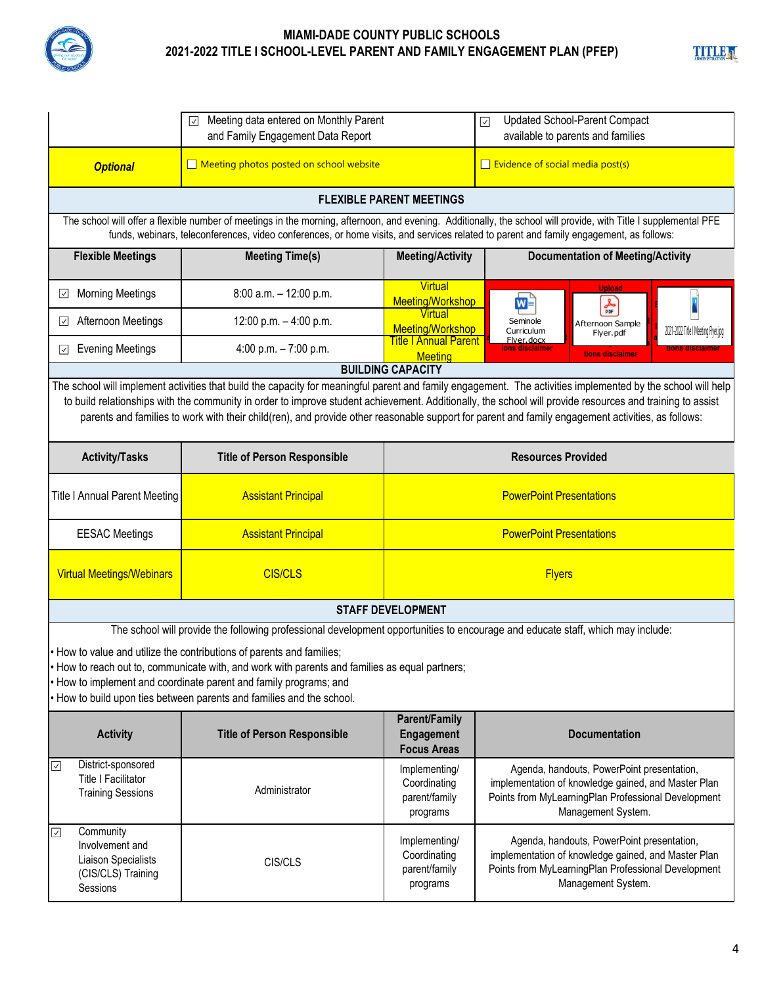

|                                                                                            | Meeting data entered on Monthly Parent<br>⊡<br>and Family Engagement Data Report                                                                                                                                                                                                                                    |                                                                            | <b>Updated School-Parent Compact</b><br>$\overline{\mathsf{v}}$<br>available to parents and families                                                                                                                                                                                                                                                                                                                                                                           |  |  |
|--------------------------------------------------------------------------------------------|---------------------------------------------------------------------------------------------------------------------------------------------------------------------------------------------------------------------------------------------------------------------------------------------------------------------|----------------------------------------------------------------------------|--------------------------------------------------------------------------------------------------------------------------------------------------------------------------------------------------------------------------------------------------------------------------------------------------------------------------------------------------------------------------------------------------------------------------------------------------------------------------------|--|--|
| <b>Optional</b>                                                                            | Meeting photos posted on school website                                                                                                                                                                                                                                                                             |                                                                            | $\Box$ Evidence of social media post(s)                                                                                                                                                                                                                                                                                                                                                                                                                                        |  |  |
|                                                                                            |                                                                                                                                                                                                                                                                                                                     | <b>FLEXIBLE PARENT MEETINGS</b>                                            |                                                                                                                                                                                                                                                                                                                                                                                                                                                                                |  |  |
|                                                                                            | The school will offer a flexible number of meetings in the morning, afternoon, and evening. Additionally, the school will provide, with Title I supplemental PFE<br>funds, webinars, teleconferences, video conferences, or home visits, and services related to parent and family engagement, as follows:          |                                                                            |                                                                                                                                                                                                                                                                                                                                                                                                                                                                                |  |  |
| <b>Flexible Meetings</b>                                                                   | <b>Meeting Time(s)</b>                                                                                                                                                                                                                                                                                              | <b>Meeting/Activity</b>                                                    | <b>Documentation of Meeting/Activity</b>                                                                                                                                                                                                                                                                                                                                                                                                                                       |  |  |
| <b>Morning Meetings</b><br>⊻                                                               | 8:00 a.m. - 12:00 p.m.                                                                                                                                                                                                                                                                                              | Virtual<br>Meeting/Workshop                                                | <b>Upload</b><br>ี่ ⊠∍่<br>$\frac{1}{\text{p} \cdot \text{p}}$                                                                                                                                                                                                                                                                                                                                                                                                                 |  |  |
| Afternoon Meetings<br>⊻                                                                    | 12:00 p.m. - 4:00 p.m.                                                                                                                                                                                                                                                                                              | Virtual<br>Meeting/Workshop                                                | Seminole<br>Afternoon Sample<br>2021-2022 Title I Meeting Flyer.jpg<br>Curriculum<br>Flyer.pdf                                                                                                                                                                                                                                                                                                                                                                                 |  |  |
| <b>Evening Meetings</b><br>ا∨ا                                                             | 4:00 p.m. $-7:00$ p.m.                                                                                                                                                                                                                                                                                              | <b>Title I Annual Parent</b><br><b>Meeting</b><br><b>BUILDING CAPACITY</b> | Flver.docx<br>ons disclaimer<br>tions disclaimer                                                                                                                                                                                                                                                                                                                                                                                                                               |  |  |
|                                                                                            |                                                                                                                                                                                                                                                                                                                     |                                                                            | The school will implement activities that build the capacity for meaningful parent and family engagement. The activities implemented by the school will help<br>to build relationships with the community in order to improve student achievement. Additionally, the school will provide resources and training to assist<br>parents and families to work with their child(ren), and provide other reasonable support for parent and family engagement activities, as follows: |  |  |
| <b>Activity/Tasks</b>                                                                      | <b>Title of Person Responsible</b>                                                                                                                                                                                                                                                                                  |                                                                            | <b>Resources Provided</b>                                                                                                                                                                                                                                                                                                                                                                                                                                                      |  |  |
| <b>Title I Annual Parent Meeting</b>                                                       | <b>Assistant Principal</b>                                                                                                                                                                                                                                                                                          | <b>PowerPoint Presentations</b>                                            |                                                                                                                                                                                                                                                                                                                                                                                                                                                                                |  |  |
| <b>EESAC Meetings</b>                                                                      | <b>Assistant Principal</b>                                                                                                                                                                                                                                                                                          |                                                                            | <b>PowerPoint Presentations</b>                                                                                                                                                                                                                                                                                                                                                                                                                                                |  |  |
| <b>Virtual Meetings/Webinars</b>                                                           | <b>CIS/CLS</b>                                                                                                                                                                                                                                                                                                      |                                                                            | <b>Flyers</b>                                                                                                                                                                                                                                                                                                                                                                                                                                                                  |  |  |
|                                                                                            |                                                                                                                                                                                                                                                                                                                     | <b>STAFF DEVELOPMENT</b>                                                   |                                                                                                                                                                                                                                                                                                                                                                                                                                                                                |  |  |
|                                                                                            | The school will provide the following professional development opportunities to encourage and educate staff, which may include:                                                                                                                                                                                     |                                                                            |                                                                                                                                                                                                                                                                                                                                                                                                                                                                                |  |  |
|                                                                                            | • How to value and utilize the contributions of parents and families;<br>How to reach out to, communicate with, and work with parents and families as equal partners;<br>• How to implement and coordinate parent and family programs; and<br>• How to build upon ties between parents and families and the school. |                                                                            |                                                                                                                                                                                                                                                                                                                                                                                                                                                                                |  |  |
| <b>Activity</b>                                                                            | <b>Title of Person Responsible</b>                                                                                                                                                                                                                                                                                  | <b>Parent/Family</b><br>Engagement<br><b>Focus Areas</b>                   | <b>Documentation</b>                                                                                                                                                                                                                                                                                                                                                                                                                                                           |  |  |
| District-sponsored<br>$\sqrt{2}$<br>Title I Facilitator<br><b>Training Sessions</b>        | Administrator                                                                                                                                                                                                                                                                                                       | Implementing/<br>Coordinating<br>parent/family<br>programs                 | Agenda, handouts, PowerPoint presentation,<br>implementation of knowledge gained, and Master Plan<br>Points from MyLearningPlan Professional Development<br>Management System.                                                                                                                                                                                                                                                                                                 |  |  |
| Community<br>☑<br>Involvement and<br>Liaison Specialists<br>(CIS/CLS) Training<br>Sessions | CIS/CLS                                                                                                                                                                                                                                                                                                             | Implementing/<br>Coordinating<br>parent/family<br>programs                 | Agenda, handouts, PowerPoint presentation,<br>implementation of knowledge gained, and Master Plan<br>Points from MyLearningPlan Professional Development<br>Management System.                                                                                                                                                                                                                                                                                                 |  |  |

**TITLE A**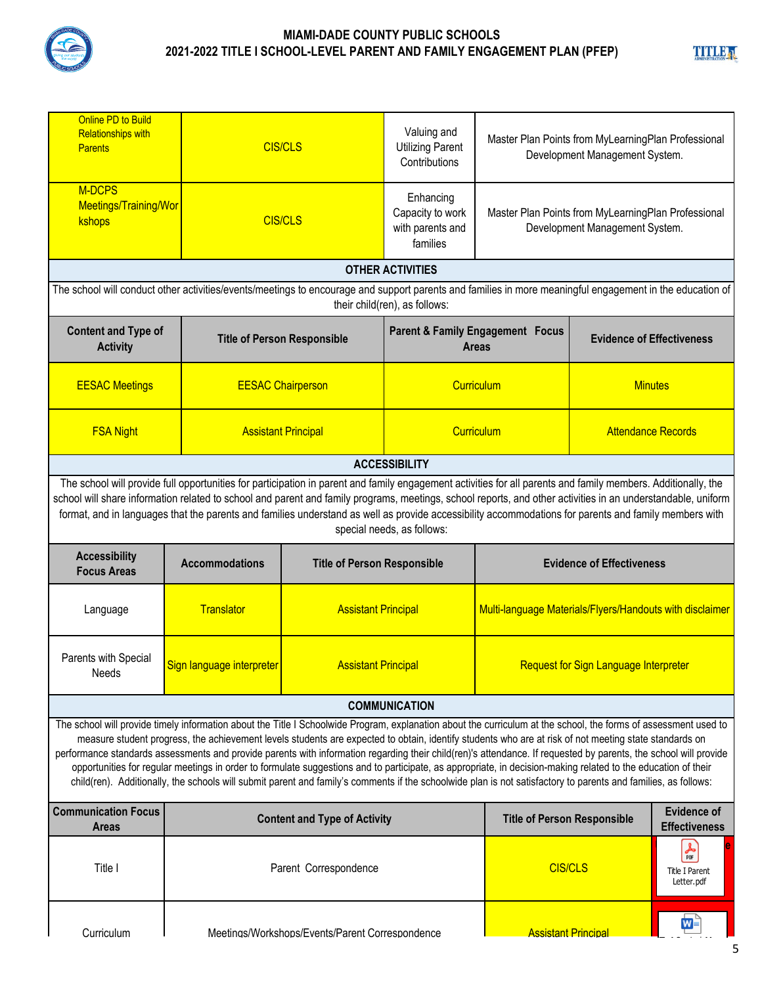

| Online PD to Build<br><b>Relationships with</b><br><b>Parents</b>                                                                                                                                                                                                                                                                                                                                                                                                                                                                                                                                                                                                                                                                                                                                                                |                                                                                                                                                                                                                                                                                                                                                                                                                                                                                        | <b>CIS/CLS</b>                                  | Valuing and<br><b>Utilizing Parent</b><br>Contributions       | Master Plan Points from MyLearningPlan Professional<br>Development Management System. |                                  |                                            |
|----------------------------------------------------------------------------------------------------------------------------------------------------------------------------------------------------------------------------------------------------------------------------------------------------------------------------------------------------------------------------------------------------------------------------------------------------------------------------------------------------------------------------------------------------------------------------------------------------------------------------------------------------------------------------------------------------------------------------------------------------------------------------------------------------------------------------------|----------------------------------------------------------------------------------------------------------------------------------------------------------------------------------------------------------------------------------------------------------------------------------------------------------------------------------------------------------------------------------------------------------------------------------------------------------------------------------------|-------------------------------------------------|---------------------------------------------------------------|---------------------------------------------------------------------------------------|----------------------------------|--------------------------------------------|
| M-DCPS<br>Meetings/Training/Wor<br>kshops                                                                                                                                                                                                                                                                                                                                                                                                                                                                                                                                                                                                                                                                                                                                                                                        |                                                                                                                                                                                                                                                                                                                                                                                                                                                                                        | <b>CIS/CLS</b>                                  | Enhancing<br>Capacity to work<br>with parents and<br>families | Master Plan Points from MyLearningPlan Professional<br>Development Management System. |                                  |                                            |
|                                                                                                                                                                                                                                                                                                                                                                                                                                                                                                                                                                                                                                                                                                                                                                                                                                  |                                                                                                                                                                                                                                                                                                                                                                                                                                                                                        |                                                 | <b>OTHER ACTIVITIES</b>                                       |                                                                                       |                                  |                                            |
|                                                                                                                                                                                                                                                                                                                                                                                                                                                                                                                                                                                                                                                                                                                                                                                                                                  | The school will conduct other activities/events/meetings to encourage and support parents and families in more meaningful engagement in the education of                                                                                                                                                                                                                                                                                                                               |                                                 | their child(ren), as follows:                                 |                                                                                       |                                  |                                            |
| <b>Content and Type of</b><br><b>Activity</b>                                                                                                                                                                                                                                                                                                                                                                                                                                                                                                                                                                                                                                                                                                                                                                                    |                                                                                                                                                                                                                                                                                                                                                                                                                                                                                        | <b>Title of Person Responsible</b>              |                                                               | Parent & Family Engagement Focus<br><b>Areas</b>                                      | <b>Evidence of Effectiveness</b> |                                            |
| <b>EESAC Meetings</b>                                                                                                                                                                                                                                                                                                                                                                                                                                                                                                                                                                                                                                                                                                                                                                                                            |                                                                                                                                                                                                                                                                                                                                                                                                                                                                                        | <b>EESAC Chairperson</b>                        |                                                               | Curriculum                                                                            | <b>Minutes</b>                   |                                            |
| <b>FSA Night</b>                                                                                                                                                                                                                                                                                                                                                                                                                                                                                                                                                                                                                                                                                                                                                                                                                 |                                                                                                                                                                                                                                                                                                                                                                                                                                                                                        | <b>Assistant Principal</b>                      |                                                               | Curriculum<br><b>Attendance Records</b>                                               |                                  |                                            |
|                                                                                                                                                                                                                                                                                                                                                                                                                                                                                                                                                                                                                                                                                                                                                                                                                                  |                                                                                                                                                                                                                                                                                                                                                                                                                                                                                        |                                                 | <b>ACCESSIBILITY</b>                                          |                                                                                       |                                  |                                            |
|                                                                                                                                                                                                                                                                                                                                                                                                                                                                                                                                                                                                                                                                                                                                                                                                                                  | The school will provide full opportunities for participation in parent and family engagement activities for all parents and family members. Additionally, the<br>school will share information related to school and parent and family programs, meetings, school reports, and other activities in an understandable, uniform<br>format, and in languages that the parents and families understand as well as provide accessibility accommodations for parents and family members with |                                                 | special needs, as follows:                                    |                                                                                       |                                  |                                            |
| <b>Accessibility</b><br><b>Focus Areas</b>                                                                                                                                                                                                                                                                                                                                                                                                                                                                                                                                                                                                                                                                                                                                                                                       | <b>Accommodations</b>                                                                                                                                                                                                                                                                                                                                                                                                                                                                  | <b>Title of Person Responsible</b>              |                                                               |                                                                                       | <b>Evidence of Effectiveness</b> |                                            |
| Language                                                                                                                                                                                                                                                                                                                                                                                                                                                                                                                                                                                                                                                                                                                                                                                                                         | <b>Translator</b>                                                                                                                                                                                                                                                                                                                                                                                                                                                                      | <b>Assistant Principal</b>                      |                                                               | Multi-language Materials/Flyers/Handouts with disclaimer                              |                                  |                                            |
| Parents with Special<br>Needs                                                                                                                                                                                                                                                                                                                                                                                                                                                                                                                                                                                                                                                                                                                                                                                                    | Sign language interpreter                                                                                                                                                                                                                                                                                                                                                                                                                                                              | <b>Assistant Principal</b>                      |                                                               | <b>Request for Sign Language Interpreter</b>                                          |                                  |                                            |
|                                                                                                                                                                                                                                                                                                                                                                                                                                                                                                                                                                                                                                                                                                                                                                                                                                  |                                                                                                                                                                                                                                                                                                                                                                                                                                                                                        |                                                 | <b>COMMUNICATION</b>                                          |                                                                                       |                                  |                                            |
| The school will provide timely information about the Title I Schoolwide Program, explanation about the curriculum at the school, the forms of assessment used to<br>measure student progress, the achievement levels students are expected to obtain, identify students who are at risk of not meeting state standards on<br>performance standards assessments and provide parents with information regarding their child(ren)'s attendance. If requested by parents, the school will provide<br>opportunities for regular meetings in order to formulate suggestions and to participate, as appropriate, in decision-making related to the education of their<br>child(ren). Additionally, the schools will submit parent and family's comments if the schoolwide plan is not satisfactory to parents and families, as follows: |                                                                                                                                                                                                                                                                                                                                                                                                                                                                                        |                                                 |                                                               |                                                                                       |                                  |                                            |
| <b>Communication Focus</b><br><b>Areas</b>                                                                                                                                                                                                                                                                                                                                                                                                                                                                                                                                                                                                                                                                                                                                                                                       |                                                                                                                                                                                                                                                                                                                                                                                                                                                                                        | <b>Content and Type of Activity</b>             |                                                               | <b>Title of Person Responsible</b>                                                    |                                  | <b>Evidence of</b><br><b>Effectiveness</b> |
| Title I                                                                                                                                                                                                                                                                                                                                                                                                                                                                                                                                                                                                                                                                                                                                                                                                                          |                                                                                                                                                                                                                                                                                                                                                                                                                                                                                        | Parent Correspondence                           |                                                               | <b>CIS/CLS</b>                                                                        |                                  | 人脉<br><b>Title I Parent</b><br>Letter.pdf  |
| Curriculum                                                                                                                                                                                                                                                                                                                                                                                                                                                                                                                                                                                                                                                                                                                                                                                                                       |                                                                                                                                                                                                                                                                                                                                                                                                                                                                                        | Meetings/Workshops/Events/Parent Correspondence |                                                               | <b>Assistant Principal</b>                                                            |                                  | WE                                         |

**TITLE** a

**E id H**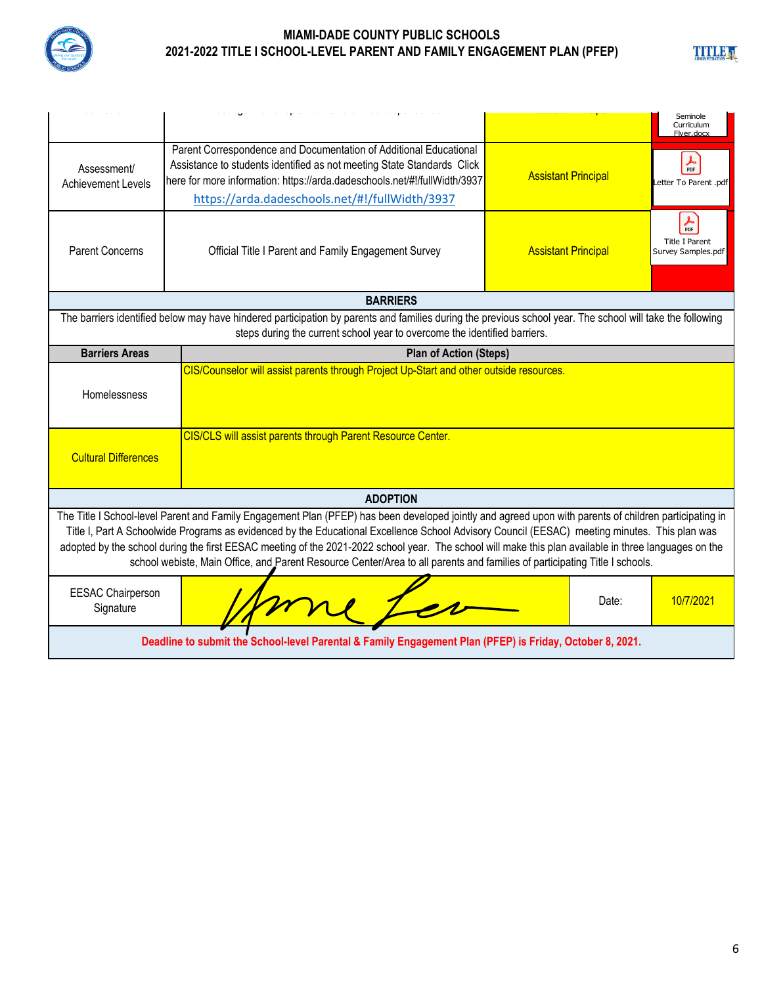

**TITLE A** 

|                                                                                                                                                                                                                                                                                                                                                                                                                                                                                                                                                                                                |                                                                                                                                                                                                                                                                            |                            | Seminole<br>Curriculum<br>Elver docx                           |  |  |
|------------------------------------------------------------------------------------------------------------------------------------------------------------------------------------------------------------------------------------------------------------------------------------------------------------------------------------------------------------------------------------------------------------------------------------------------------------------------------------------------------------------------------------------------------------------------------------------------|----------------------------------------------------------------------------------------------------------------------------------------------------------------------------------------------------------------------------------------------------------------------------|----------------------------|----------------------------------------------------------------|--|--|
| Assessment/<br><b>Achievement Levels</b>                                                                                                                                                                                                                                                                                                                                                                                                                                                                                                                                                       | Parent Correspondence and Documentation of Additional Educational<br>Assistance to students identified as not meeting State Standards Click<br>here for more information: https://arda.dadeschools.net/#!/fullWidth/3937<br>https://arda.dadeschools.net/#!/fullWidth/3937 | <b>Assistant Principal</b> | $\frac{1}{\text{POF}}$<br>Letter To Parent .pdf                |  |  |
| <b>Parent Concerns</b>                                                                                                                                                                                                                                                                                                                                                                                                                                                                                                                                                                         | Official Title I Parent and Family Engagement Survey                                                                                                                                                                                                                       | <b>Assistant Principal</b> | $\frac{1}{PDF}$<br><b>Title I Parent</b><br>Survey Samples.pdf |  |  |
|                                                                                                                                                                                                                                                                                                                                                                                                                                                                                                                                                                                                | <b>BARRIERS</b>                                                                                                                                                                                                                                                            |                            |                                                                |  |  |
|                                                                                                                                                                                                                                                                                                                                                                                                                                                                                                                                                                                                | The barriers identified below may have hindered participation by parents and families during the previous school year. The school will take the following<br>steps during the current school year to overcome the identified barriers.                                     |                            |                                                                |  |  |
| <b>Barriers Areas</b>                                                                                                                                                                                                                                                                                                                                                                                                                                                                                                                                                                          | <b>Plan of Action (Steps)</b>                                                                                                                                                                                                                                              |                            |                                                                |  |  |
| Homelessness                                                                                                                                                                                                                                                                                                                                                                                                                                                                                                                                                                                   | CIS/Counselor will assist parents through Project Up-Start and other outside resources.                                                                                                                                                                                    |                            |                                                                |  |  |
| <b>Cultural Differences</b>                                                                                                                                                                                                                                                                                                                                                                                                                                                                                                                                                                    | CIS/CLS will assist parents through Parent Resource Center.                                                                                                                                                                                                                |                            |                                                                |  |  |
|                                                                                                                                                                                                                                                                                                                                                                                                                                                                                                                                                                                                | <b>ADOPTION</b>                                                                                                                                                                                                                                                            |                            |                                                                |  |  |
| The Title I School-level Parent and Family Engagement Plan (PFEP) has been developed jointly and agreed upon with parents of children participating in<br>Title I, Part A Schoolwide Programs as evidenced by the Educational Excellence School Advisory Council (EESAC) meeting minutes. This plan was<br>adopted by the school during the first EESAC meeting of the 2021-2022 school year. The school will make this plan available in three languages on the<br>school webiste, Main Office, and Parent Resource Center/Area to all parents and families of participating Title I schools. |                                                                                                                                                                                                                                                                            |                            |                                                                |  |  |
| <b>EESAC Chairperson</b><br>Signature                                                                                                                                                                                                                                                                                                                                                                                                                                                                                                                                                          |                                                                                                                                                                                                                                                                            | Date:                      | 10/7/2021                                                      |  |  |
| Deadline to submit the School-level Parental & Family Engagement Plan (PFEP) is Friday, October 8, 2021.                                                                                                                                                                                                                                                                                                                                                                                                                                                                                       |                                                                                                                                                                                                                                                                            |                            |                                                                |  |  |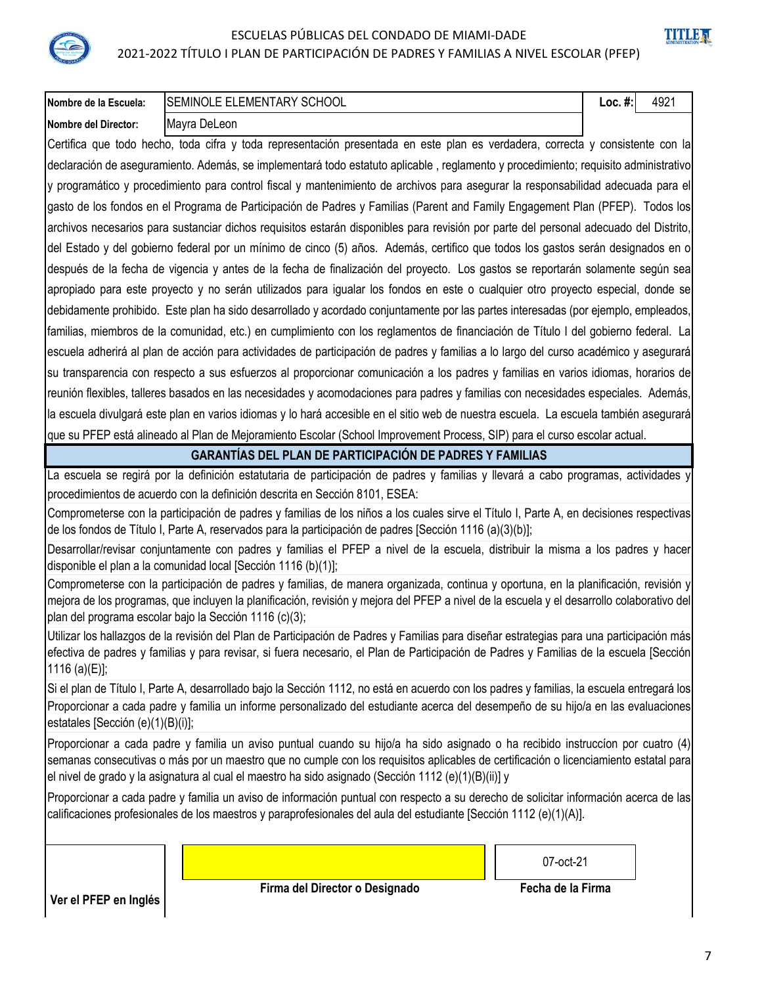ESCUELAS PÚBLICAS DEL CONDADO DE MIAMI-DADE 2021-2022 TÍTULO I PLAN DE PARTICIPACIÓN DE PADRES Y FAMILIAS A NIVEL ESCOLAR (PFEP)

# **TITLE**

| Nombre de la Escuela:                                                                                                               | <b>SEMINOLE ELEMENTARY SCHOOL</b><br>Loc. $#$ :<br>4921                                                                                                                                                                                                                                                                                    |  |  |  |  |  |  |
|-------------------------------------------------------------------------------------------------------------------------------------|--------------------------------------------------------------------------------------------------------------------------------------------------------------------------------------------------------------------------------------------------------------------------------------------------------------------------------------------|--|--|--|--|--|--|
| <b>Nombre del Director:</b>                                                                                                         | Mayra DeLeon                                                                                                                                                                                                                                                                                                                               |  |  |  |  |  |  |
|                                                                                                                                     | Certifica que todo hecho, toda cifra y toda representación presentada en este plan es verdadera, correcta y consistente con la                                                                                                                                                                                                             |  |  |  |  |  |  |
| declaración de aseguramiento. Además, se implementará todo estatuto aplicable, reglamento y procedimiento; requisito administrativo |                                                                                                                                                                                                                                                                                                                                            |  |  |  |  |  |  |
| y programático y procedimiento para control fiscal y mantenimiento de archivos para asegurar la responsabilidad adecuada para el    |                                                                                                                                                                                                                                                                                                                                            |  |  |  |  |  |  |
|                                                                                                                                     | gasto de los fondos en el Programa de Participación de Padres y Familias (Parent and Family Engagement Plan (PFEP). Todos los                                                                                                                                                                                                              |  |  |  |  |  |  |
|                                                                                                                                     | archivos necesarios para sustanciar dichos requisitos estarán disponibles para revisión por parte del personal adecuado del Distrito,                                                                                                                                                                                                      |  |  |  |  |  |  |
|                                                                                                                                     | del Estado y del gobierno federal por un mínimo de cinco (5) años. Además, certifico que todos los gastos serán designados en o                                                                                                                                                                                                            |  |  |  |  |  |  |
|                                                                                                                                     | después de la fecha de vigencia y antes de la fecha de finalización del proyecto. Los gastos se reportarán solamente según sea                                                                                                                                                                                                             |  |  |  |  |  |  |
|                                                                                                                                     | apropiado para este proyecto y no serán utilizados para igualar los fondos en este o cualquier otro proyecto especial, donde se                                                                                                                                                                                                            |  |  |  |  |  |  |
|                                                                                                                                     | debidamente prohibido. Este plan ha sido desarrollado y acordado conjuntamente por las partes interesadas (por ejemplo, empleados,                                                                                                                                                                                                         |  |  |  |  |  |  |
|                                                                                                                                     | familias, miembros de la comunidad, etc.) en cumplimiento con los reglamentos de financiación de Título I del gobierno federal. La                                                                                                                                                                                                         |  |  |  |  |  |  |
|                                                                                                                                     | escuela adherirá al plan de acción para actividades de participación de padres y familias a lo largo del curso académico y asegurará                                                                                                                                                                                                       |  |  |  |  |  |  |
|                                                                                                                                     | su transparencia con respecto a sus esfuerzos al proporcionar comunicación a los padres y familias en varios idiomas, horarios de                                                                                                                                                                                                          |  |  |  |  |  |  |
|                                                                                                                                     | reunión flexibles, talleres basados en las necesidades y acomodaciones para padres y familias con necesidades especiales. Además,                                                                                                                                                                                                          |  |  |  |  |  |  |
|                                                                                                                                     | la escuela divulgará este plan en varios idiomas y lo hará accesible en el sitio web de nuestra escuela. La escuela también asegurará                                                                                                                                                                                                      |  |  |  |  |  |  |
|                                                                                                                                     | que su PFEP está alineado al Plan de Mejoramiento Escolar (School Improvement Process, SIP) para el curso escolar actual.                                                                                                                                                                                                                  |  |  |  |  |  |  |
|                                                                                                                                     | <b>GARANTÍAS DEL PLAN DE PARTICIPACIÓN DE PADRES Y FAMILIAS</b>                                                                                                                                                                                                                                                                            |  |  |  |  |  |  |
|                                                                                                                                     | La escuela se regirá por la definición estatutaria de participación de padres y familias y llevará a cabo programas, actividades y                                                                                                                                                                                                         |  |  |  |  |  |  |
|                                                                                                                                     | procedimientos de acuerdo con la definición descrita en Sección 8101, ESEA:                                                                                                                                                                                                                                                                |  |  |  |  |  |  |
|                                                                                                                                     | Comprometerse con la participación de padres y familias de los niños a los cuales sirve el Título I, Parte A, en decisiones respectivas<br>de los fondos de Título I, Parte A, reservados para la participación de padres [Sección 1116 (a)(3)(b)];                                                                                        |  |  |  |  |  |  |
|                                                                                                                                     | Desarrollar/revisar conjuntamente con padres y familias el PFEP a nivel de la escuela, distribuir la misma a los padres y hacer<br>disponible el plan a la comunidad local [Sección 1116 (b)(1)];                                                                                                                                          |  |  |  |  |  |  |
|                                                                                                                                     | Comprometerse con la participación de padres y familias, de manera organizada, continua y oportuna, en la planificación, revisión y<br>mejora de los programas, que incluyen la planificación, revisión y mejora del PFEP a nivel de la escuela y el desarrollo colaborativo del<br>plan del programa escolar bajo la Sección 1116 (c)(3); |  |  |  |  |  |  |
|                                                                                                                                     | Utilizar los hallazgos de la revisión del Plan de Participación de Padres y Familias para diseñar estrategias para una participación más                                                                                                                                                                                                   |  |  |  |  |  |  |
| 1116 (a)(E)];                                                                                                                       | efectiva de padres y familias y para revisar, si fuera necesario, el Plan de Participación de Padres y Familias de la escuela [Sección]                                                                                                                                                                                                    |  |  |  |  |  |  |
|                                                                                                                                     | Si el plan de Título I, Parte A, desarrollado bajo la Sección 1112, no está en acuerdo con los padres y familias, la escuela entregará los                                                                                                                                                                                                 |  |  |  |  |  |  |
| estatales [Sección (e)(1)(B)(i)];                                                                                                   | Proporcionar a cada padre y familia un informe personalizado del estudiante acerca del desempeño de su hijo/a en las evaluaciones                                                                                                                                                                                                          |  |  |  |  |  |  |
|                                                                                                                                     | Proporcionar a cada padre y familia un aviso puntual cuando su hijo/a ha sido asignado o ha recibido instruccíon por cuatro (4)                                                                                                                                                                                                            |  |  |  |  |  |  |
|                                                                                                                                     | semanas consecutivas o más por un maestro que no cumple con los requisitos aplicables de certificación o licenciamiento estatal para<br>el nivel de grado y la asignatura al cual el maestro ha sido asignado (Sección 1112 (e)(1)(B)(ii)] y                                                                                               |  |  |  |  |  |  |
|                                                                                                                                     | Proporcionar a cada padre y familia un aviso de información puntual con respecto a su derecho de solicitar información acerca de las<br>calificaciones profesionales de los maestros y paraprofesionales del aula del estudiante [Sección 1112 (e)(1)(A)].                                                                                 |  |  |  |  |  |  |
|                                                                                                                                     | 07-oct-21                                                                                                                                                                                                                                                                                                                                  |  |  |  |  |  |  |
|                                                                                                                                     | Firma del Director o Designado<br>Fecha de la Firma                                                                                                                                                                                                                                                                                        |  |  |  |  |  |  |
| Ver el PFEP en Inglés                                                                                                               |                                                                                                                                                                                                                                                                                                                                            |  |  |  |  |  |  |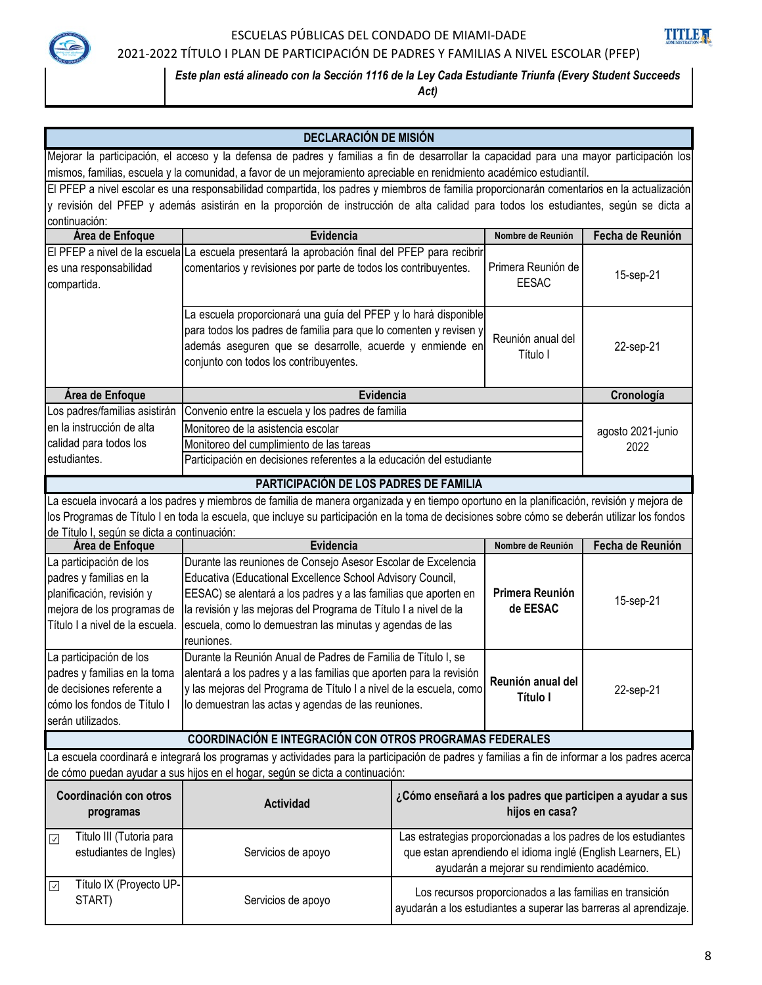

### ESCUELAS PÚBLICAS DEL CONDADO DE MIAMI-DADE



## 2021-2022 TÍTULO I PLAN DE PARTICIPACIÓN DE PADRES Y FAMILIAS A NIVEL ESCOLAR (PFEP)

### *Este plan está alineado con la Sección 1116 de la Ley Cada Estudiante Triunfa (Every Student Succeeds*

*Act)*

|                                                                                                                                                                                                                                 | <b>DECLARACIÓN DE MISIÓN</b>                                                                                                                  |  |                                                              |                                                                   |
|---------------------------------------------------------------------------------------------------------------------------------------------------------------------------------------------------------------------------------|-----------------------------------------------------------------------------------------------------------------------------------------------|--|--------------------------------------------------------------|-------------------------------------------------------------------|
|                                                                                                                                                                                                                                 | Mejorar la participación, el acceso y la defensa de padres y familias a fin de desarrollar la capacidad para una mayor participación los      |  |                                                              |                                                                   |
|                                                                                                                                                                                                                                 | mismos, familias, escuela y la comunidad, a favor de un mejoramiento apreciable en renidmiento académico estudiantíl.                         |  |                                                              |                                                                   |
|                                                                                                                                                                                                                                 | El PFEP a nivel escolar es una responsabilidad compartida, los padres y miembros de familia proporcionarán comentarios en la actualización    |  |                                                              |                                                                   |
|                                                                                                                                                                                                                                 | y revisión del PFEP y además asistirán en la proporción de instrucción de alta calidad para todos los estudiantes, según se dicta a           |  |                                                              |                                                                   |
| continuación:                                                                                                                                                                                                                   |                                                                                                                                               |  |                                                              |                                                                   |
| Área de Enfoque                                                                                                                                                                                                                 | Evidencia                                                                                                                                     |  | Nombre de Reunión                                            | Fecha de Reunión                                                  |
|                                                                                                                                                                                                                                 | El PFEP a nivel de la escuela La escuela presentará la aprobación final del PFEP para recibrir                                                |  |                                                              |                                                                   |
| es una responsabilidad                                                                                                                                                                                                          | comentarios y revisiones por parte de todos los contribuyentes.                                                                               |  | Primera Reunión de                                           | 15-sep-21                                                         |
| compartida.                                                                                                                                                                                                                     |                                                                                                                                               |  | <b>EESAC</b>                                                 |                                                                   |
|                                                                                                                                                                                                                                 | La escuela proporcionará una guía del PFEP y lo hará disponible                                                                               |  |                                                              |                                                                   |
|                                                                                                                                                                                                                                 | para todos los padres de familia para que lo comenten y revisen y                                                                             |  |                                                              |                                                                   |
|                                                                                                                                                                                                                                 | además aseguren que se desarrolle, acuerde y enmiende en                                                                                      |  | Reunión anual del<br>Título I                                | 22-sep-21                                                         |
|                                                                                                                                                                                                                                 | conjunto con todos los contribuyentes.                                                                                                        |  |                                                              |                                                                   |
|                                                                                                                                                                                                                                 |                                                                                                                                               |  |                                                              |                                                                   |
| Área de Enfoque                                                                                                                                                                                                                 | Evidencia                                                                                                                                     |  |                                                              | Cronología                                                        |
| Los padres/familias asistirán                                                                                                                                                                                                   | Convenio entre la escuela y los padres de familia                                                                                             |  |                                                              |                                                                   |
| en la instrucción de alta                                                                                                                                                                                                       | Monitoreo de la asistencia escolar                                                                                                            |  |                                                              | agosto 2021-junio                                                 |
| calidad para todos los                                                                                                                                                                                                          | Monitoreo del cumplimiento de las tareas                                                                                                      |  |                                                              | 2022                                                              |
| estudiantes.                                                                                                                                                                                                                    | Participación en decisiones referentes a la educación del estudiante                                                                          |  |                                                              |                                                                   |
|                                                                                                                                                                                                                                 | PARTICIPACIÓN DE LOS PADRES DE FAMILIA                                                                                                        |  |                                                              |                                                                   |
|                                                                                                                                                                                                                                 | La escuela invocará a los padres y miembros de familia de manera organizada y en tiempo oportuno en la planificación, revisión y mejora de    |  |                                                              |                                                                   |
|                                                                                                                                                                                                                                 | los Programas de Título I en toda la escuela, que incluye su participación en la toma de decisiones sobre cómo se deberán utilizar los fondos |  |                                                              |                                                                   |
| de Título I, según se dicta a continuación:                                                                                                                                                                                     |                                                                                                                                               |  |                                                              |                                                                   |
| Área de Enfoque                                                                                                                                                                                                                 | Evidencia<br>Durante las reuniones de Consejo Asesor Escolar de Excelencia                                                                    |  | Nombre de Reunión                                            | Fecha de Reunión                                                  |
| La participación de los<br>padres y familias en la                                                                                                                                                                              | Educativa (Educational Excellence School Advisory Council,                                                                                    |  |                                                              |                                                                   |
| planificación, revisión y                                                                                                                                                                                                       | EESAC) se alentará a los padres y a las familias que aporten en                                                                               |  | Primera Reunión                                              |                                                                   |
| mejora de los programas de                                                                                                                                                                                                      | la revisión y las mejoras del Programa de Título I a nivel de la                                                                              |  | de EESAC                                                     | 15-sep-21                                                         |
| Título I a nivel de la escuela.                                                                                                                                                                                                 | escuela, como lo demuestran las minutas y agendas de las                                                                                      |  |                                                              |                                                                   |
|                                                                                                                                                                                                                                 | reuniones.                                                                                                                                    |  |                                                              |                                                                   |
| La participación de los                                                                                                                                                                                                         | Durante la Reunión Anual de Padres de Familia de Título I, se                                                                                 |  |                                                              |                                                                   |
| padres y familias en la toma                                                                                                                                                                                                    | alentará a los padres y a las familias que aporten para la revisión                                                                           |  | Reunión anual del                                            |                                                                   |
| de decisiones referente a                                                                                                                                                                                                       | y las mejoras del Programa de Título I a nivel de la escuela, como                                                                            |  | Título I                                                     | 22-sep-21                                                         |
| cómo los fondos de Título I                                                                                                                                                                                                     | lo demuestran las actas y agendas de las reuniones.                                                                                           |  |                                                              |                                                                   |
| serán utilizados.                                                                                                                                                                                                               |                                                                                                                                               |  |                                                              |                                                                   |
|                                                                                                                                                                                                                                 | COORDINACIÓN E INTEGRACIÓN CON OTROS PROGRAMAS FEDERALES                                                                                      |  |                                                              |                                                                   |
| La escuela coordinará e integrará los programas y actividades para la participación de padres y familias a fin de informar a los padres acerca<br>de cómo puedan ayudar a sus hijos en el hogar, según se dicta a continuación: |                                                                                                                                               |  |                                                              |                                                                   |
|                                                                                                                                                                                                                                 |                                                                                                                                               |  |                                                              |                                                                   |
| Coordinación con otros                                                                                                                                                                                                          | <b>Actividad</b>                                                                                                                              |  |                                                              | ¿Cómo enseñará a los padres que participen a ayudar a sus         |
| programas                                                                                                                                                                                                                       |                                                                                                                                               |  | hijos en casa?                                               |                                                                   |
| Titulo III (Tutoria para<br>$\overline{\mathcal{L}}$                                                                                                                                                                            |                                                                                                                                               |  |                                                              | Las estrategias proporcionadas a los padres de los estudiantes    |
| estudiantes de Ingles)                                                                                                                                                                                                          | Servicios de apoyo                                                                                                                            |  | que estan aprendiendo el idioma inglé (English Learners, EL) |                                                                   |
|                                                                                                                                                                                                                                 |                                                                                                                                               |  | ayudarán a mejorar su rendimiento académico.                 |                                                                   |
| Título IX (Proyecto UP-<br>$\sqrt{}$                                                                                                                                                                                            |                                                                                                                                               |  | Los recursos proporcionados a las familias en transición     |                                                                   |
| START)                                                                                                                                                                                                                          | Servicios de apoyo                                                                                                                            |  |                                                              | ayudarán a los estudiantes a superar las barreras al aprendizaje. |
|                                                                                                                                                                                                                                 |                                                                                                                                               |  |                                                              |                                                                   |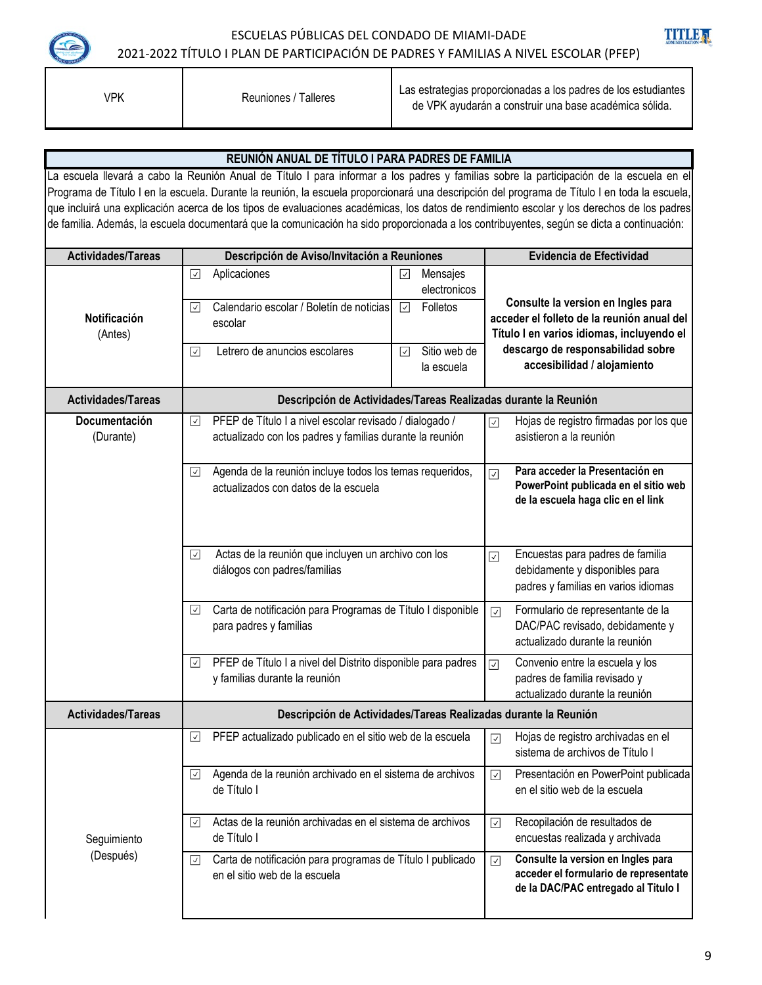

VPK

Reuniones / Talleres Las estrategias proporcionadas a los padres de los estudiantes de VPK ayudarán a construir una base académica sólida.

#### **REUNIÓN ANUAL DE TÍTULO I PARA PADRES DE FAMILIA** La escuela llevará a cabo la Reunión Anual de Título I para informar a los padres y familias sobre la participación de la escuela en el Programa de Título I en la escuela. Durante la reunión, la escuela proporcionará una descripción del programa de Título I en toda la escuela, que incluirá una explicación acerca de los tipos de evaluaciones académicas, los datos de rendimiento escolar y los derechos de los padres de familia. Además, la escuela documentará que la comunicación ha sido proporcionada a los contribuyentes, según se dicta a continuación: **Actividades/Tareas Descripción de Aviso/Invitación a Reuniones Evidencia de Efectividad**  $\Box$  Aplicaciones  $\Box$  Mensajes electronicos **Consulte la version en Ingles para**   $\triangledown$  Calendario escolar / Boletín de noticias **V** Folletos **Notificación acceder el folleto de la reunión anual del**  escolar (Antes) **Título I en varios idiomas, incluyendo el**   $\Box$  Letrero de anuncios escolares  $\Box$  Sitio web de **descargo de responsabilidad sobre accesibilidad / alojamiento** la escuela **Actividades/Tareas Descripción de Actividades/Tareas Realizadas durante la Reunión Documentación** PFEP de Título I a nivel escolar revisado / dialogado / Hojas de registro firmadas por los que  $\sqrt{}$  $\boxed{\checkmark}$ (Durante) actualizado con los padres y familias durante la reunión asistieron a la reunión **Para acceder la Presentación en**  Agenda de la reunión incluye todos los temas requeridos,  $\sqrt{ }$  $\overline{\vee}$ **PowerPoint publicada en el sitio web**  actualizados con datos de la escuela **de la escuela haga clic en el link** Actas de la reunión que incluyen un archivo con los Encuestas para padres de familia ⊡  $\sqrt{2}$ diálogos con padres/familias debidamente y disponibles para padres y familias en varios idiomas Carta de notificación para Programas de Título I disponible Formulario de representante de la  $\sqrt{ }$  $\overline{\vee}$ para padres y familias DAC/PAC revisado, debidamente y actualizado durante la reunión  $\overline{\phantom{a}}$ PFEP de Título I a nivel del Distrito disponible para padres Convenio entre la escuela y los  $\boxed{\checkmark}$ y familias durante la reunión padres de familia revisado y actualizado durante la reunión **Descripción de Actividades/Tareas Realizadas durante la Reunión Actividades/Tareas** PFEP actualizado publicado en el sitio web de la escuela  $|\triangledown|$  Hojas de registro archivadas en el  $\overline{\mathcal{S}}$ sistema de archivos de Título I

 $\boxdot$  Carta de notificación para programas de Título I publicado

 $\boxdot$  Actas de la reunión archivadas en el sistema de archivos

Agenda de la reunión archivado en el sistema de archivos

en el sitio web de la escuela

de Título I

 $\sqrt{}$ 

de Título I

**Consulte la version en Ingles para acceder el formulario de representate de la DAC/PAC entregado al Titulo I** 

Presentación en PowerPoint publicada

en el sitio web de la escuela

 $\sqrt{ }$ 

 $\overline{\mathsf{v}}$ 

 $\overline{\smile}$ 

Recopilación de resultados de encuestas realizada y archivada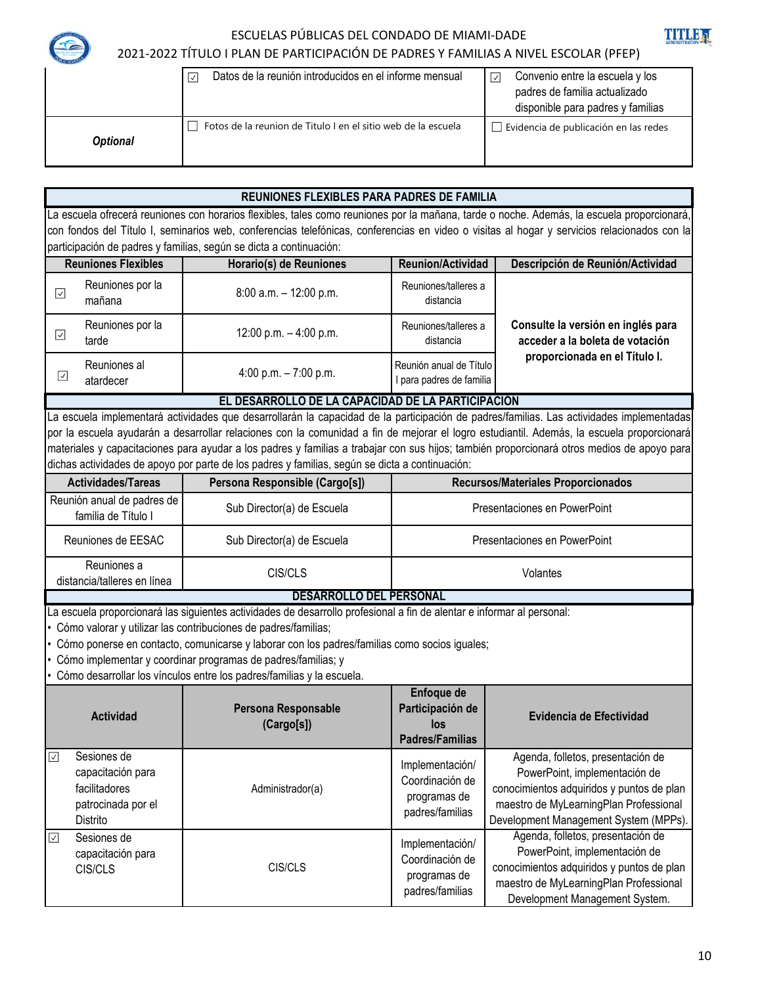TITI F

### ESCUELAS PÚBLICAS DEL CONDADO DE MIAMI-DADE 2021-2022 TÍTULO I PLAN DE PARTICIPACIÓN DE PADRES Y FAMILIAS A NIVEL ESCOLAR (PFEP)

|                 | Datos de la reunión introducidos en el informe mensual<br>اټ  | Convenio entre la escuela y los<br>☑<br>padres de familia actualizado<br>disponible para padres y familias |
|-----------------|---------------------------------------------------------------|------------------------------------------------------------------------------------------------------------|
| <b>Optional</b> | Fotos de la reunion de Titulo I en el sitio web de la escuela | $\Box$ Evidencia de publicación en las redes                                                               |

#### **REUNIONES FLEXIBLES PARA PADRES DE FAMILIA** La escuela ofrecerá reuniones con horarios flexibles, tales como reuniones por la mañana, tarde o noche. Además, la escuela proporcionará, con fondos del Título I, seminarios web, conferencias telefónicas, conferencias en video o visitas al hogar y servicios relacionados con la participación de padres y familias, según se dicta a continuación: **Reuniones Flexibles Horario(s) de Reuniones Reunion/Actividad Descripción de Reunión/Actividad** Reuniones por la Reuniones por la  $\begin{array}{|l|l|}\n\hline\n8:00 \text{ a.m.} - 12:00 \text{ p.m.} \\
\hline\n\end{array}$ Reuniones/talleres a<br>mañana distancia  $\overline{\mathsf{v}}$ distancia Reuniones por la 12:00 p.m. – 4:00 p.m. Reuniones/talleres a **Consulte la versión en inglés para**   $\sqrt{}$ distancia tarde **acceder a la boleta de votación proporcionada en el Título I.** Reuniones al  $4:00 \text{ p.m.} - 7:00 \text{ p.m.}$  Reunión anual de Título  $\sqrt{}$ atardecer I para padres de familia **EL DESARROLLO DE LA CAPACIDAD DE LA PARTICIPACIÓN** La escuela implementará actividades que desarrollarán la capacidad de la participación de padres/familias. Las actividades implementadas por la escuela ayudarán a desarrollar relaciones con la comunidad a fin de mejorar el logro estudiantil. Además, la escuela proporcionará materiales y capacitaciones para ayudar a los padres y familias a trabajar con sus hijos; también proporcionará otros medios de apoyo para dichas actividades de apoyo por parte de los padres y familias, según se dicta a continuación: **Persona Responsible (Cargo[s]) Actividades/Tareas Recursos/Materiales Proporcionados** Reunión anual de padres de familia de Título I Sub Director(a) de Escuela<br>Familia de Título I Reuniones de EESAC Presentaciones en PowerPoint Sub Director(a) de Escuela Reuniones a CIS/CLS Volantes distancia/talleres en línea **DESARROLLO DEL PERSONAL** La escuela proporcionará las siguientes actividades de desarrollo profesional a fin de alentar e informar al personal: • Cómo valorar y utilizar las contribuciones de padres/familias; • Cómo ponerse en contacto, comunicarse y laborar con los padres/familias como socios iguales; • Cómo implementar y coordinar programas de padres/familias; y • Cómo desarrollar los vínculos entre los padres/familias y la escuela. **Enfoque de Participación de Actividad Persona Responsable Evidencia de Efectividad los (Cargo[s]) Padres/Familias** Sesiones de Agenda, folletos, presentación de  $\sqrt{2}$ Implementación/ capacitación para PowerPoint, implementación de Coordinación de facilitadores Administrador(a) conocimientos adquiridos y puntos de plan programas de patrocinada por el maestro de MyLearningPlan Professional padres/familias Distrito Development Management System (MPPs). Agenda, folletos, presentación de Sesiones de ☑ Implementación/ capacitación para PowerPoint, implementación de Coordinación de CIS/CLS CIS/CLS conocimientos adquiridos y puntos de plan programas de maestro de MyLearningPlan Professional padres/familias Development Management System.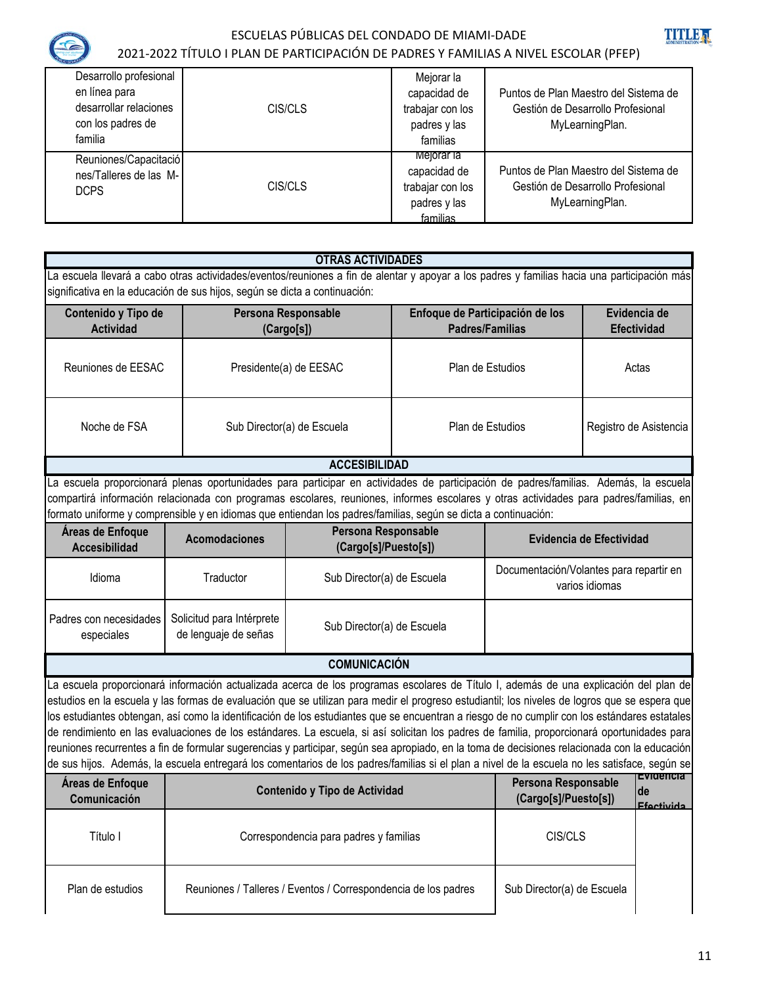

### ESCUELAS PÚBLICAS DEL CONDADO DE MIAMI-DADE 2021-2022 TÍTULO I PLAN DE PARTICIPACIÓN DE PADRES Y FAMILIAS A NIVEL ESCOLAR (PFEP)



| Desarrollo profesional<br>en línea para<br>desarrollar relaciones<br>con los padres de<br>familia | CIS/CLS | Mejorar la<br>capacidad de<br>trabajar con los<br>padres y las<br>familias | Puntos de Plan Maestro del Sistema de<br>Gestión de Desarrollo Profesional<br>MyLearningPlan. |
|---------------------------------------------------------------------------------------------------|---------|----------------------------------------------------------------------------|-----------------------------------------------------------------------------------------------|
| Reuniones/Capacitació<br>nes/Talleres de las M-<br><b>DCPS</b>                                    | CIS/CLS | Mejorar la<br>capacidad de<br>trabajar con los<br>padres y las<br>familias | Puntos de Plan Maestro del Sistema de<br>Gestión de Desarrollo Profesional<br>MyLearningPlan. |

#### **OTRAS ACTIVIDADES**

La escuela llevará a cabo otras actividades/eventos/reuniones a fin de alentar y apoyar a los padres y familias hacia una participación más significativa en la educación de sus hijos, según se dicta a continuación:

| Contenido y Tipo de<br><b>Actividad</b> | Persona Responsable<br>(Cargo[s]) | Enfoque de Participación de los<br>Padres/Familias | Evidencia de<br><b>Efectividad</b> |
|-----------------------------------------|-----------------------------------|----------------------------------------------------|------------------------------------|
| Reuniones de EESAC                      | Presidente(a) de EESAC            | Plan de Estudios                                   | Actas                              |
| Noche de FSA                            | Sub Director(a) de Escuela        | Plan de Estudios                                   | Registro de Asistencia             |
| <b>ACCESIBILIDAD</b>                    |                                   |                                                    |                                    |

La escuela proporcionará plenas oportunidades para participar en actividades de participación de padres/familias. Además, la escuela compartirá información relacionada con programas escolares, reuniones, informes escolares y otras actividades para padres/familias, en formato uniforme y comprensible y en idiomas que entiendan los padres/familias, según se dicta a continuación:

| Áreas de Enfoque<br><b>Accesibilidad</b> | <b>Acomodaciones</b>                              | Persona Responsable<br>(Cargo[s]/Puesto[s]) | Evidencia de Efectividad                                  |
|------------------------------------------|---------------------------------------------------|---------------------------------------------|-----------------------------------------------------------|
| Idioma                                   | Traductor                                         | Sub Director(a) de Escuela                  | Documentación/Volantes para repartir en<br>varios idiomas |
| Padres con necesidades  <br>especiales   | Solicitud para Intérprete<br>de lenguaje de señas | Sub Director(a) de Escuela                  |                                                           |

### **COMUNICACIÓN**

La escuela proporcionará información actualizada acerca de los programas escolares de Título I, además de una explicación del plan de estudios en la escuela y las formas de evaluación que se utilizan para medir el progreso estudiantil; los niveles de logros que se espera que los estudiantes obtengan, así como la identificación de los estudiantes que se encuentran a riesgo de no cumplir con los estándares estatales de rendimiento en las evaluaciones de los estándares. La escuela, si así solicitan los padres de familia, proporcionará oportunidades para reuniones recurrentes a fin de formular sugerencias y participar, según sea apropiado, en la toma de decisiones relacionada con la educación de sus hijos. Además, la escuela entregará los comentarios de los padres/familias si el plan a nivel de la escuela no les satisface, según se

| Áreas de Enfoque<br>Comunicación | Contenido y Tipo de Actividad                                  | Persona Responsable<br>(Cargo[s]/Puesto[s]) | nevidencia<br>lde<br><b>Efectivida</b> |
|----------------------------------|----------------------------------------------------------------|---------------------------------------------|----------------------------------------|
| Título I                         | Correspondencia para padres y familias                         | CIS/CLS                                     |                                        |
| Plan de estudios                 | Reuniones / Talleres / Eventos / Correspondencia de los padres | Sub Director(a) de Escuela                  |                                        |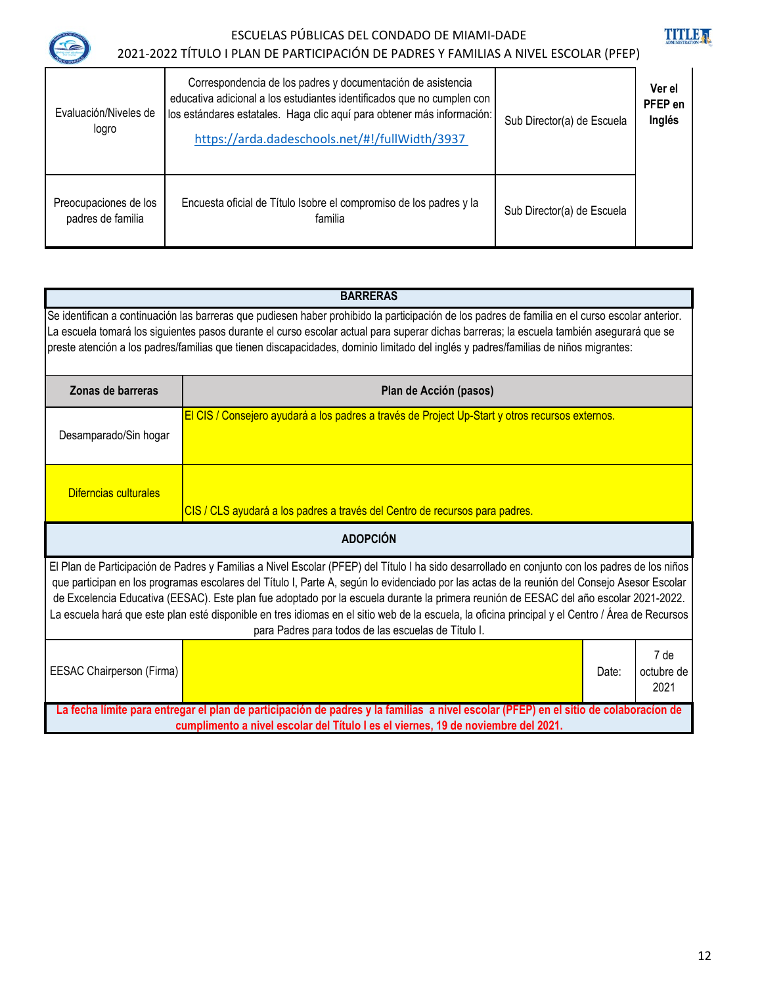

# ESCUELAS PÚBLICAS DEL CONDADO DE MIAMI-DADE



| C<br>2021-2022 TÍTULO I PLAN DE PARTICIPACIÓN DE PADRES Y FAMILIAS A NIVEL ESCOLAR (PFEP) |                                                                                                                                                                                                                                                                   |                            |                             |
|-------------------------------------------------------------------------------------------|-------------------------------------------------------------------------------------------------------------------------------------------------------------------------------------------------------------------------------------------------------------------|----------------------------|-----------------------------|
| Evaluación/Niveles de<br>logro                                                            | Correspondencia de los padres y documentación de asistencia<br>educativa adicional a los estudiantes identificados que no cumplen con<br>los estándares estatales. Haga clic aquí para obtener más información:<br>https://arda.dadeschools.net/#!/fullWidth/3937 | Sub Director(a) de Escuela | Ver el<br>PFEP en<br>Inglés |
| Preocupaciones de los<br>padres de familia                                                | Encuesta oficial de Título Isobre el compromiso de los padres y la<br>familia                                                                                                                                                                                     | Sub Director(a) de Escuela |                             |

|                                                                                                                                                                                                                                                                                                                                                                                                                                                                                                                                                                                                                                                    | <b>BARRERAS</b>                                                                                 |  |  |
|----------------------------------------------------------------------------------------------------------------------------------------------------------------------------------------------------------------------------------------------------------------------------------------------------------------------------------------------------------------------------------------------------------------------------------------------------------------------------------------------------------------------------------------------------------------------------------------------------------------------------------------------------|-------------------------------------------------------------------------------------------------|--|--|
| Se identifican a continuación las barreras que pudiesen haber prohibido la participación de los padres de familia en el curso escolar anterior.<br>La escuela tomará los siguientes pasos durante el curso escolar actual para superar dichas barreras; la escuela también asegurará que se<br>preste atención a los padres/familias que tienen discapacidades, dominio limitado del inglés y padres/familias de niños migrantes:                                                                                                                                                                                                                  |                                                                                                 |  |  |
| Zonas de barreras                                                                                                                                                                                                                                                                                                                                                                                                                                                                                                                                                                                                                                  | Plan de Acción (pasos)                                                                          |  |  |
| Desamparado/Sin hogar                                                                                                                                                                                                                                                                                                                                                                                                                                                                                                                                                                                                                              | El CIS / Consejero ayudará a los padres a través de Project Up-Start y otros recursos externos. |  |  |
| Diferncias culturales                                                                                                                                                                                                                                                                                                                                                                                                                                                                                                                                                                                                                              | CIS / CLS ayudará a los padres a través del Centro de recursos para padres.                     |  |  |
|                                                                                                                                                                                                                                                                                                                                                                                                                                                                                                                                                                                                                                                    | <b>ADOPCIÓN</b>                                                                                 |  |  |
| El Plan de Participación de Padres y Familias a Nivel Escolar (PFEP) del Título I ha sido desarrollado en conjunto con los padres de los niños<br>que participan en los programas escolares del Título I, Parte A, según lo evidenciado por las actas de la reunión del Consejo Asesor Escolar<br>de Excelencia Educativa (EESAC). Este plan fue adoptado por la escuela durante la primera reunión de EESAC del año escolar 2021-2022.<br>La escuela hará que este plan esté disponible en tres idiomas en el sitio web de la escuela, la oficina principal y el Centro / Área de Recursos<br>para Padres para todos de las escuelas de Título I. |                                                                                                 |  |  |
| EESAC Chairperson (Firma)                                                                                                                                                                                                                                                                                                                                                                                                                                                                                                                                                                                                                          | 7 de<br>octubre de<br>Date:<br>2021                                                             |  |  |
| La fecha límite para entregar el plan de participación de padres y la familias a nivel escolar (PFEP) en el sitio de colaboracíon de<br>cumplimento a nivel escolar del Título I es el viernes, 19 de noviembre del 2021.                                                                                                                                                                                                                                                                                                                                                                                                                          |                                                                                                 |  |  |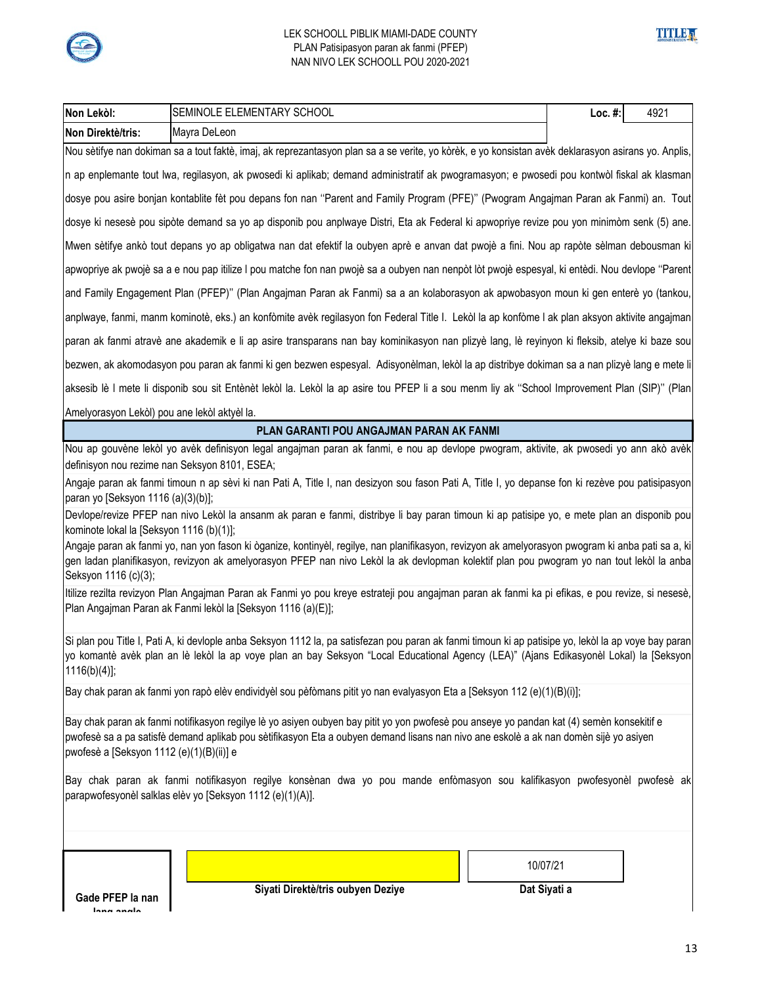



| Non Lekòl:                                                                                                                                                                                                                                                                                                                    | SEMINOLE ELEMENTARY SCHOOL                                                                                                                                                                                                                                                                     | Loc. $#$ : | 4921 |  |
|-------------------------------------------------------------------------------------------------------------------------------------------------------------------------------------------------------------------------------------------------------------------------------------------------------------------------------|------------------------------------------------------------------------------------------------------------------------------------------------------------------------------------------------------------------------------------------------------------------------------------------------|------------|------|--|
| Non Direktè/tris:                                                                                                                                                                                                                                                                                                             | Mayra DeLeon                                                                                                                                                                                                                                                                                   |            |      |  |
|                                                                                                                                                                                                                                                                                                                               | Nou sètifye nan dokiman sa a tout faktè, imaj, ak reprezantasyon plan sa a se verite, yo kòrèk, e yo konsistan avèk deklarasyon asirans yo. Anplis,                                                                                                                                            |            |      |  |
|                                                                                                                                                                                                                                                                                                                               | n ap enplemante tout lwa, regilasyon, ak pwosedi ki aplikab; demand administratif ak pwogramasyon; e pwosedi pou kontwòl fiskal ak klasman                                                                                                                                                     |            |      |  |
|                                                                                                                                                                                                                                                                                                                               | dosye pou asire bonjan kontablite fèt pou depans fon nan "Parent and Family Program (PFE)" (Pwogram Angajman Paran ak Fanmi) an. Tout                                                                                                                                                          |            |      |  |
|                                                                                                                                                                                                                                                                                                                               | dosye ki nesesè pou sipòte demand sa yo ap disponib pou anplwaye Distri, Eta ak Federal ki apwopriye revize pou yon minimòm senk (5) ane.                                                                                                                                                      |            |      |  |
|                                                                                                                                                                                                                                                                                                                               | Mwen sètifye ankò tout depans yo ap obligatwa nan dat efektif la oubyen aprè e anvan dat pwojè a fini. Nou ap rapòte sèlman debousman ki                                                                                                                                                       |            |      |  |
|                                                                                                                                                                                                                                                                                                                               | apwopriye ak pwojè sa a e nou pap itilize I pou matche fon nan pwojè sa a oubyen nan nenpòt lòt pwojè espesyal, ki entèdi. Nou devlope "Parent                                                                                                                                                 |            |      |  |
|                                                                                                                                                                                                                                                                                                                               | and Family Engagement Plan (PFEP)" (Plan Angajman Paran ak Fanmi) sa a an kolaborasyon ak apwobasyon moun ki gen enterè yo (tankou,                                                                                                                                                            |            |      |  |
|                                                                                                                                                                                                                                                                                                                               | anplwaye, fanmi, manm kominotè, eks.) an konfòmite avèk regilasyon fon Federal Title I. Lekòl la ap konfòme I ak plan aksyon aktivite angajman                                                                                                                                                 |            |      |  |
|                                                                                                                                                                                                                                                                                                                               | paran ak fanmi atravè ane akademik e li ap asire transparans nan bay kominikasyon nan plizyè lang, lè reyinyon ki fleksib, atelye ki baze sou                                                                                                                                                  |            |      |  |
|                                                                                                                                                                                                                                                                                                                               | bezwen, ak akomodasyon pou paran ak fanmi ki gen bezwen espesyal. Adisyonèlman, lekòl la ap distribye dokiman sa a nan plizyè lang e mete li                                                                                                                                                   |            |      |  |
|                                                                                                                                                                                                                                                                                                                               | aksesib lè I mete li disponib sou sit Entènèt lekòl la. Lekòl la ap asire tou PFEP li a sou menm liy ak "School Improvement Plan (SIP)" (Plan                                                                                                                                                  |            |      |  |
| Amelyorasyon Lekòl) pou ane lekòl aktyèl la.                                                                                                                                                                                                                                                                                  |                                                                                                                                                                                                                                                                                                |            |      |  |
|                                                                                                                                                                                                                                                                                                                               | PLAN GARANTI POU ANGAJMAN PARAN AK FANMI                                                                                                                                                                                                                                                       |            |      |  |
|                                                                                                                                                                                                                                                                                                                               | Nou ap gouvène lekòl yo avèk definisyon legal angajman paran ak fanmi, e nou ap devlope pwogram, aktivite, ak pwosedi yo ann akò avèk<br>definisyon nou rezime nan Seksyon 8101, ESEA;                                                                                                         |            |      |  |
| paran yo [Seksyon 1116 (a)(3)(b)];                                                                                                                                                                                                                                                                                            | Angaje paran ak fanmi timoun n ap sèvi ki nan Pati A, Title I, nan desizyon sou fason Pati A, Title I, yo depanse fon ki rezève pou patisipasyon                                                                                                                                               |            |      |  |
| kominote lokal la [Seksyon 1116 (b)(1)];                                                                                                                                                                                                                                                                                      | Devlope/revize PFEP nan nivo Lekòl la ansanm ak paran e fanmi, distribye li bay paran timoun ki ap patisipe yo, e mete plan an disponib pou                                                                                                                                                    |            |      |  |
| Seksyon 1116 (c)(3);                                                                                                                                                                                                                                                                                                          | Angaje paran ak fanmi yo, nan yon fason ki òganize, kontinyèl, regilye, nan planifikasyon, revizyon ak amelyorasyon pwogram ki anba pati sa a, ki<br>gen ladan planifikasyon, revizyon ak amelyorasyon PFEP nan nivo Lekòl la ak devlopman kolektif plan pou pwogram yo nan tout lekòl la anba |            |      |  |
|                                                                                                                                                                                                                                                                                                                               | Itilize rezilta revizyon Plan Angajman Paran ak Fanmi yo pou kreye estrateji pou angajman paran ak fanmi ka pi efikas, e pou revize, si nesesè,<br>Plan Angajman Paran ak Fanmi lekòl la [Seksyon 1116 (a)(E)];                                                                                |            |      |  |
| $1116(b)(4)$ ;                                                                                                                                                                                                                                                                                                                | Si plan pou Title I, Pati A, ki devlople anba Seksyon 1112 la, pa satisfezan pou paran ak fanmi timoun ki ap patisipe yo, lekòl la ap voye bay paran<br>yo komantè avèk plan an lè lekòl la ap voye plan an bay Seksyon "Local Educational Agency (LEA)" (Ajans Edikasyonèl Lokal) la [Seksyon |            |      |  |
|                                                                                                                                                                                                                                                                                                                               | Bay chak paran ak fanmi yon rapò elèv endividyèl sou pèfòmans pitit yo nan evalyasyon Eta a [Seksyon 112 (e)(1)(B)(i)];                                                                                                                                                                        |            |      |  |
| Bay chak paran ak fanmi notifikasyon regilye lè yo asiyen oubyen bay pitit yo yon pwofesè pou anseye yo pandan kat (4) semèn konsekitif e<br>pwofesè sa a pa satisfè demand aplikab pou sètifikasyon Eta a oubyen demand lisans nan nivo ane eskolè a ak nan domèn sijè yo asiyen<br>pwofesè a [Seksyon 1112 (e)(1)(B)(ii)] e |                                                                                                                                                                                                                                                                                                |            |      |  |
|                                                                                                                                                                                                                                                                                                                               | Bay chak paran ak fanmi notifikasyon regilye konsènan dwa yo pou mande enfòmasyon sou kalifikasyon pwofesyonèl pwofesè ak<br>parapwofesyonèl salklas elèv yo [Seksyon 1112 (e)(1)(A)].                                                                                                         |            |      |  |
| Gade PFEP la nan                                                                                                                                                                                                                                                                                                              | 10/07/21<br>Siyati Direktè/tris oubyen Deziye<br>Dat Siyati a                                                                                                                                                                                                                                  |            |      |  |
| ماممہ ممما                                                                                                                                                                                                                                                                                                                    |                                                                                                                                                                                                                                                                                                |            |      |  |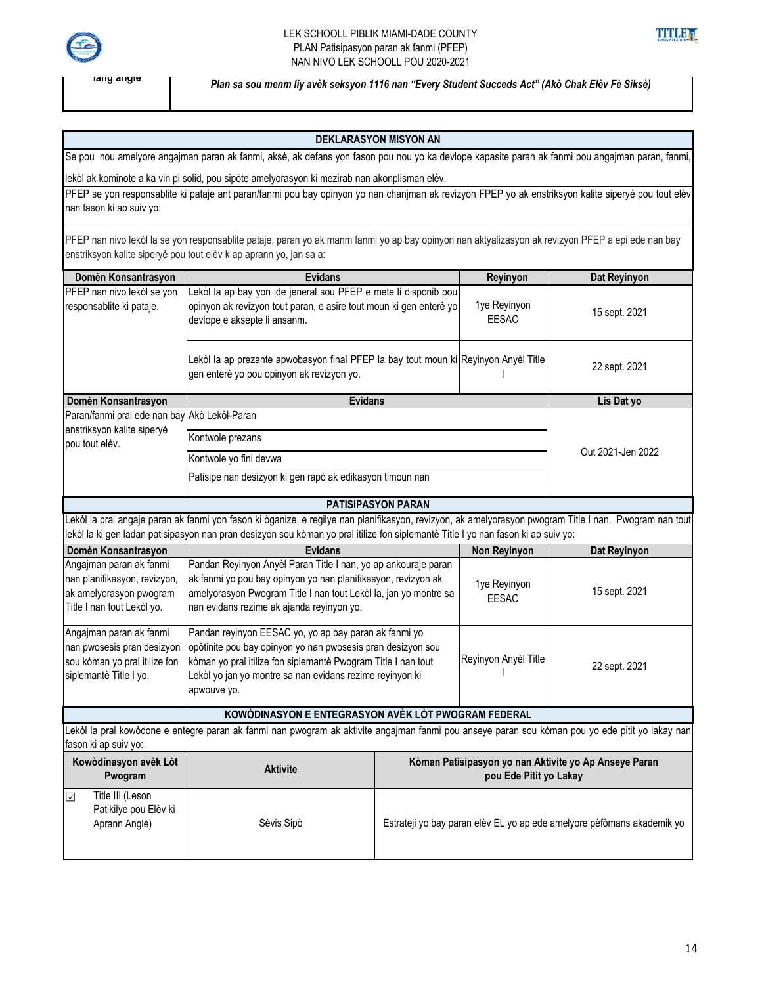

**lang angle**

#### LEK SCHOOLL PIBLIK MIAMI-DADE COUNTY PLAN Patisipasyon paran ak fanmi (PFEP) NAN NIVO LEK SCHOOLL POU 2020-2021



*Plan sa sou menm liy avèk seksyon 1116 nan "Every Student Succeds Act" (Akò Chak Elèv Fè Siksè)* 

#### **DEKLARASYON MISYON AN**

Se pou nou amelyore angajman paran ak fanmi, aksè, ak defans yon fason pou nou yo ka devlope kapasite paran ak fanmi pou angajman paran, fanmi,

lekòl ak kominote a ka vin pi solid, pou sipòte amelyorasyon ki mezirab nan akonplisman elèv.

PFEP se yon responsablite ki pataje ant paran/fanmi pou bay opinyon yo nan chanjman ak revizyon FPEP yo ak enstriksyon kalite siperyè pou tout elèv nan fason ki ap suiv yo:

PFEP nan nivo lekòl la se yon responsablite pataje, paran yo ak manm fanmi yo ap bay opinyon nan aktyalizasyon ak revizyon PFEP a epi ede nan bay enstriksyon kalite siperyè pou tout elèv k ap aprann yo, jan sa a:

| Domèn Konsantrasyon                                                                                              | <b>Evidans</b>                                                                                                                                                                                                                                                                              |                                                                                 | Dat Reyinyon<br>Reyinyon     |                   |
|------------------------------------------------------------------------------------------------------------------|---------------------------------------------------------------------------------------------------------------------------------------------------------------------------------------------------------------------------------------------------------------------------------------------|---------------------------------------------------------------------------------|------------------------------|-------------------|
| PFEP nan nivo lekòl se yon<br>responsablite ki pataje.                                                           | Lekòl la ap bay yon ide jeneral sou PFEP e mete li disponib pou<br>opinyon ak revizyon tout paran, e asire tout moun ki gen enterè yo<br>devlope e aksepte li ansanm.                                                                                                                       |                                                                                 | 1ye Reyinyon<br><b>EESAC</b> | 15 sept. 2021     |
|                                                                                                                  | Lekòl la ap prezante apwobasyon final PFEP la bay tout moun ki Reyinyon Anyèl Title<br>gen enterè yo pou opinyon ak revizyon yo.                                                                                                                                                            |                                                                                 |                              | 22 sept. 2021     |
| Domèn Konsantrasyon                                                                                              | <b>Evidans</b>                                                                                                                                                                                                                                                                              |                                                                                 |                              | Lis Dat yo        |
| Paran/fanmi pral ede nan bay                                                                                     | Akò Lekòl-Paran                                                                                                                                                                                                                                                                             |                                                                                 |                              |                   |
| enstriksyon kalite siperyè<br>pou tout elèv.                                                                     | Kontwole prezans                                                                                                                                                                                                                                                                            |                                                                                 |                              |                   |
|                                                                                                                  | Kontwole yo fini devwa                                                                                                                                                                                                                                                                      |                                                                                 |                              | Out 2021-Jen 2022 |
|                                                                                                                  | Patisipe nan desizyon ki gen rapò ak edikasyon timoun nan                                                                                                                                                                                                                                   |                                                                                 |                              |                   |
|                                                                                                                  |                                                                                                                                                                                                                                                                                             | <b>PATISIPASYON PARAN</b>                                                       |                              |                   |
|                                                                                                                  | Lekòl la pral angaje paran ak fanmi yon fason ki òganize, e regilye nan planifikasyon, revizyon, ak amelyorasyon pwogram Title I nan. Pwogram nan tout<br>lekòl la ki gen ladan patisipasyon nan pran desizyon sou kòman yo pral itilize fon siplemantè Title I yo nan fason ki ap suiv yo: |                                                                                 |                              |                   |
| Domèn Konsantrasyon                                                                                              | <b>Evidans</b>                                                                                                                                                                                                                                                                              |                                                                                 | <b>Non Reyinyon</b>          | Dat Reyinyon      |
| Angajman paran ak fanmi<br>nan planifikasyon, revizyon,<br>ak amelyorasyon pwogram<br>Title I nan tout Lekòl yo. | Pandan Reyinyon Anyèl Paran Title I nan, yo ap ankouraje paran<br>ak fanmi yo pou bay opinyon yo nan planifikasyon, revizyon ak<br>amelyorasyon Pwogram Title I nan tout Lekòl la, jan yo montre sa<br>nan evidans rezime ak ajanda reyinyon yo.                                            |                                                                                 | 1ye Reyinyon<br><b>EESAC</b> | 15 sept. 2021     |
| Angajman paran ak fanmi<br>nan pwosesis pran desizyon<br>sou kòman yo pral itilize fon<br>siplemantè Title I yo. | Pandan reyinyon EESAC yo, yo ap bay paran ak fanmi yo<br>opòtinite pou bay opinyon yo nan pwosesis pran desizyon sou<br>kòman yo pral itilize fon siplemantè Pwogram Title I nan tout<br>Lekòl yo jan yo montre sa nan evidans rezime reyinyon ki<br>apwouve yo.                            |                                                                                 | Reyinyon Anyèl Title         | 22 sept. 2021     |
|                                                                                                                  | KOWÒDINASYON E ENTEGRASYON AVÈK LÒT PWOGRAM FEDERAL                                                                                                                                                                                                                                         |                                                                                 |                              |                   |
| fason ki ap suiv yo:                                                                                             | Lekòl la pral kowòdone e entegre paran ak fanmi nan pwogram ak aktivite angajman fanmi pou anseye paran sou kòman pou yo ede pitit yo lakay nan                                                                                                                                             |                                                                                 |                              |                   |
| Kowòdinasyon avèk Lòt<br>Pwogram                                                                                 | <b>Aktivite</b>                                                                                                                                                                                                                                                                             | Kòman Patisipasyon yo nan Aktivite yo Ap Anseye Paran<br>pou Ede Pitit yo Lakay |                              |                   |
| Title III (Leson<br>☑<br>Patikilye pou Elèv ki<br>Aprann Anglè)                                                  | Sèvis Sipò                                                                                                                                                                                                                                                                                  | Estrateji yo bay paran elèv EL yo ap ede amelyore pèfòmans akademik yo          |                              |                   |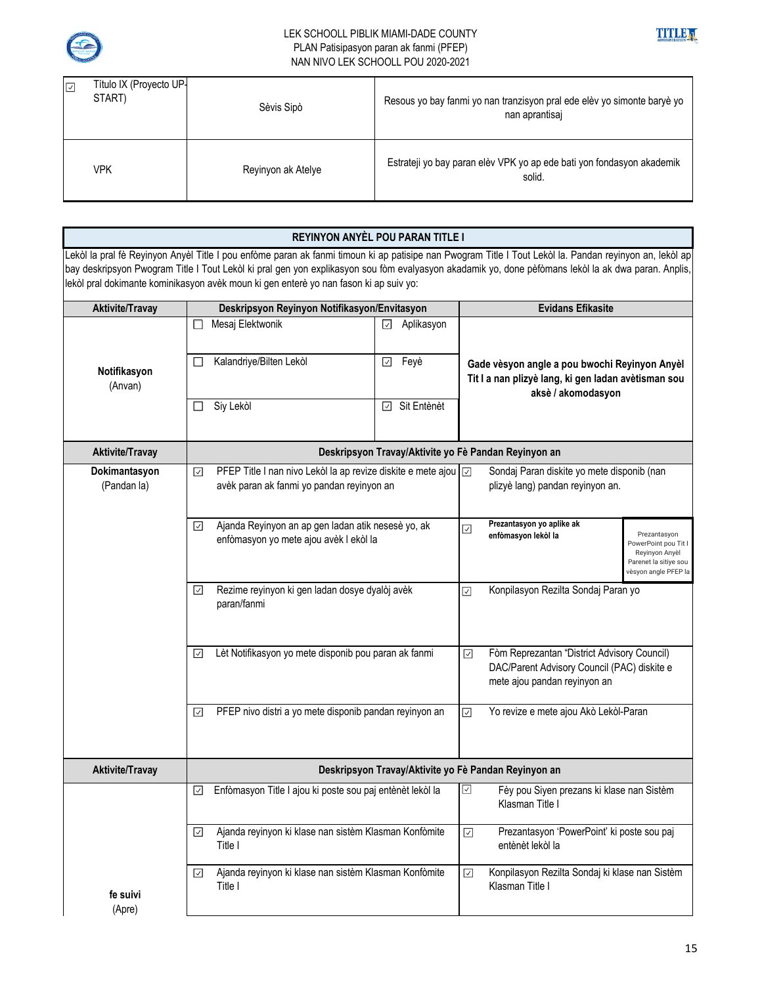



| Título IX (Proyecto UP-<br>$\overline{\vee}$<br>START) | Sèvis Sipò         | Resous yo bay fanmi yo nan tranzisyon pral ede elèv yo simonte baryè yo<br>nan aprantisaj |
|--------------------------------------------------------|--------------------|-------------------------------------------------------------------------------------------|
| VPK                                                    | Reyinyon ak Atelye | Estrateji yo bay paran elèv VPK yo ap ede bati yon fondasyon akademik<br>solid.           |

|                        | REYINYON ANYÈL POU PARAN TITLE I                                                      |                                                      |                                                                                                                                                         |                                         |  |
|------------------------|---------------------------------------------------------------------------------------|------------------------------------------------------|---------------------------------------------------------------------------------------------------------------------------------------------------------|-----------------------------------------|--|
|                        |                                                                                       |                                                      | Lekòl la pral fè Reyinyon Anyèl Title I pou enfòme paran ak fanmi timoun ki ap patisipe nan Pwogram Title I Tout Lekòl la. Pandan reyinyon an, lekòl ap |                                         |  |
|                        | lekòl pral dokimante kominikasyon avèk moun ki gen enterè yo nan fason ki ap suiv yo: |                                                      | bay deskripsyon Pwogram Title I Tout Lekòl ki pral gen yon explikasyon sou fòm evalyasyon akadamik yo, done pèfòmans lekòl la ak dwa paran. Anplis,     |                                         |  |
| <b>Aktivite/Travay</b> | Deskripsyon Reyinyon Notifikasyon/Envitasyon                                          |                                                      | <b>Evidans Efikasite</b>                                                                                                                                |                                         |  |
|                        | Mesaj Elektwonik<br>П                                                                 | ☑<br>Aplikasyon                                      |                                                                                                                                                         |                                         |  |
|                        |                                                                                       |                                                      |                                                                                                                                                         |                                         |  |
|                        | Kalandriye/Bilten Lekòl                                                               | Feyè<br>☑                                            |                                                                                                                                                         |                                         |  |
| Notifikasyon           |                                                                                       |                                                      | Gade vèsyon angle a pou bwochi Reyinyon Anyèl<br>Tit I a nan plizyè lang, ki gen ladan avètisman sou                                                    |                                         |  |
| (Anvan)                |                                                                                       |                                                      | aksè / akomodasyon                                                                                                                                      |                                         |  |
|                        | Siy Lekòl                                                                             | Sit Entènèt<br>$\checkmark$                          |                                                                                                                                                         |                                         |  |
|                        |                                                                                       |                                                      |                                                                                                                                                         |                                         |  |
| <b>Aktivite/Travay</b> |                                                                                       | Deskripsyon Travay/Aktivite yo Fè Pandan Reyinyon an |                                                                                                                                                         |                                         |  |
| Dokimantasyon          | PFEP Title I nan nivo Lekòl la ap revize diskite e mete ajou   2<br>☑                 |                                                      | Sondaj Paran diskite yo mete disponib (nan                                                                                                              |                                         |  |
| (Pandan la)            | avèk paran ak fanmi yo pandan reyinyon an                                             |                                                      | plizyè lang) pandan reyinyon an.                                                                                                                        |                                         |  |
|                        |                                                                                       |                                                      |                                                                                                                                                         |                                         |  |
|                        | Ajanda Reyinyon an ap gen ladan atik nesesè yo, ak<br>☑                               |                                                      | Prezantasyon yo aplike ak<br>☑                                                                                                                          |                                         |  |
|                        | enfòmasyon yo mete ajou avèk I ekòl la                                                |                                                      | enfòmasyon lekòl la                                                                                                                                     | Prezantasyon<br>PowerPoint pou Tit I    |  |
|                        |                                                                                       |                                                      |                                                                                                                                                         | Reyinyon Anyèl<br>Parenet la sitiye sou |  |
|                        |                                                                                       |                                                      |                                                                                                                                                         | vèsyon angle PFEP la                    |  |
|                        | Rezime reyinyon ki gen ladan dosye dyalòj avèk<br>☑<br>paran/fanmi                    |                                                      | Konpilasyon Rezilta Sondaj Paran yo<br>$\overline{\mathcal{L}}$                                                                                         |                                         |  |
|                        |                                                                                       |                                                      |                                                                                                                                                         |                                         |  |
|                        |                                                                                       |                                                      |                                                                                                                                                         |                                         |  |
|                        | Lèt Notifikasyon yo mete disponib pou paran ak fanmi<br>$\overline{\mathcal{S}}$      |                                                      | Fòm Reprezantan "District Advisory Council)<br>☑                                                                                                        |                                         |  |
|                        |                                                                                       |                                                      | DAC/Parent Advisory Council (PAC) diskite e                                                                                                             |                                         |  |
|                        |                                                                                       |                                                      | mete ajou pandan reyinyon an                                                                                                                            |                                         |  |
|                        | PFEP nivo distri a yo mete disponib pandan reyinyon an<br>$\overline{\vee}$           |                                                      | $\boxed{\small\vee}$<br>Yo revize e mete ajou Akò Lekòl-Paran                                                                                           |                                         |  |
|                        |                                                                                       |                                                      |                                                                                                                                                         |                                         |  |
|                        |                                                                                       |                                                      |                                                                                                                                                         |                                         |  |
| <b>Aktivite/Travay</b> | Deskripsyon Travay/Aktivite yo Fè Pandan Reyinyon an                                  |                                                      |                                                                                                                                                         |                                         |  |
|                        | Enfòmasyon Title I ajou ki poste sou paj entènèt lekòl la<br>⊻                        |                                                      | ⊻<br>Fèy pou Siyen prezans ki klase nan Sistèm                                                                                                          |                                         |  |
|                        |                                                                                       |                                                      | Klasman Title I                                                                                                                                         |                                         |  |
|                        | Ajanda reyinyon ki klase nan sistèm Klasman Konfòmite<br>$\overline{\mathcal{S}}$     |                                                      | Prezantasyon 'PowerPoint' ki poste sou paj<br>$\boxed{\checkmark}$                                                                                      |                                         |  |
|                        | Title I                                                                               |                                                      | entènèt lekòl la                                                                                                                                        |                                         |  |
|                        | Ajanda reyinyon ki klase nan sistèm Klasman Konfòmite<br>☑                            |                                                      | Konpilasyon Rezilta Sondaj ki klase nan Sistèm<br>$\boxed{\checkmark}$                                                                                  |                                         |  |
| fe suivi               | Title I                                                                               |                                                      | Klasman Title I                                                                                                                                         |                                         |  |
| (Apre)                 |                                                                                       |                                                      |                                                                                                                                                         |                                         |  |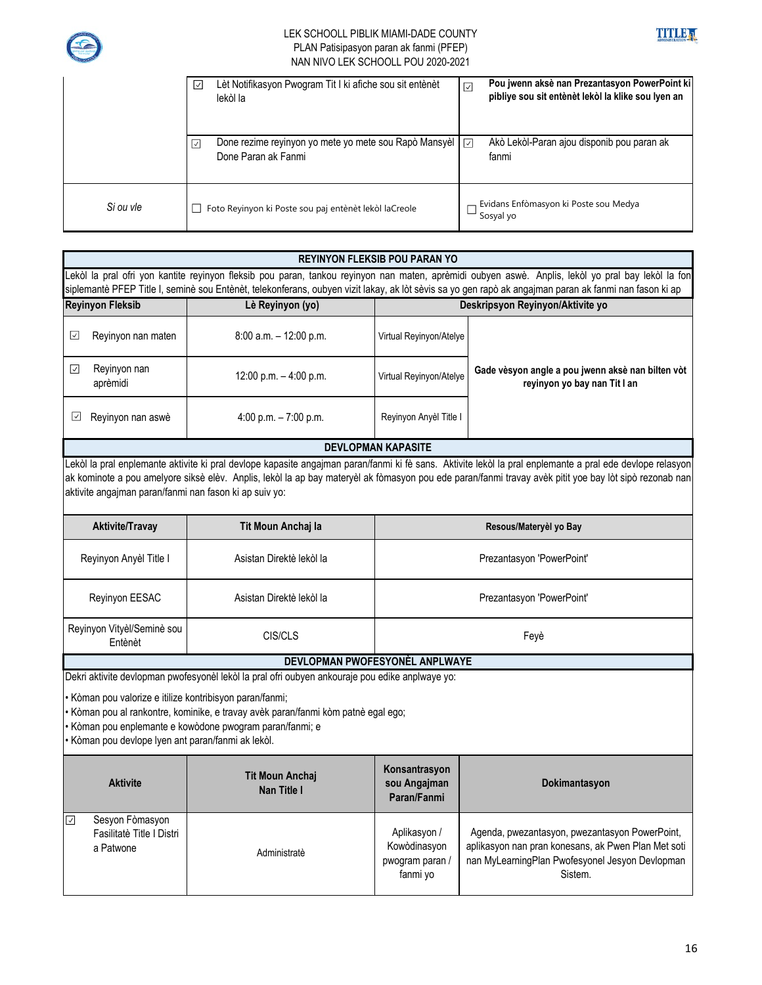



|           | Lèt Notifikasyon Pwogram Tit I ki afiche sou sit entènèt<br>$\overline{\vee}$<br>lekòl la | Pou jwenn aksè nan Prezantasyon PowerPoint ki<br>☑<br>pibliye sou sit entènèt lekòl la klike sou lyen an |
|-----------|-------------------------------------------------------------------------------------------|----------------------------------------------------------------------------------------------------------|
|           | Done rezime reyinyon yo mete yo mete sou Rapò Mansyèl<br>∣√<br>Done Paran ak Fanmi        | Akò Lekòl-Paran ajou disponib pou paran ak<br>⊡<br>fanmi                                                 |
| Si ou vle | Foto Reyinyon ki Poste sou paj entènèt lekòl laCreole                                     | Evidans Enfòmasyon ki Poste sou Medya<br>Sosyal yo                                                       |

| <b>REYINYON FLEKSIB POU PARAN YO</b>                                                                                                                                                                                                                                                                                                                           |                                                      |                                                             |                                                                                                                                                                                                                                                                                                                     |  |
|----------------------------------------------------------------------------------------------------------------------------------------------------------------------------------------------------------------------------------------------------------------------------------------------------------------------------------------------------------------|------------------------------------------------------|-------------------------------------------------------------|---------------------------------------------------------------------------------------------------------------------------------------------------------------------------------------------------------------------------------------------------------------------------------------------------------------------|--|
| Lekòl la pral ofri yon kantite reyinyon fleksib pou paran, tankou reyinyon nan maten, aprèmidi oubyen aswè. Anplis, lekòl yo pral bay lekòl la fon<br>siplemantè PFEP Title I, seminè sou Entènèt, telekonferans, oubyen vizit lakay, ak lòt sèvis sa yo gen rapò ak angajman paran ak fanmi nan fason ki ap                                                   |                                                      |                                                             |                                                                                                                                                                                                                                                                                                                     |  |
| <b>Reyinyon Fleksib</b>                                                                                                                                                                                                                                                                                                                                        | Deskripsyon Reyinyon/Aktivite yo<br>Lè Reyinyon (yo) |                                                             |                                                                                                                                                                                                                                                                                                                     |  |
| ☑<br>Reyinyon nan maten                                                                                                                                                                                                                                                                                                                                        | 8:00 a.m. - 12:00 p.m.                               | Virtual Reyinyon/Atelye                                     |                                                                                                                                                                                                                                                                                                                     |  |
| Reyinyon nan<br>☑<br>aprèmidi                                                                                                                                                                                                                                                                                                                                  | 12:00 p.m. $-4:00$ p.m.                              | Virtual Reyinyon/Atelye                                     | Gade vèsyon angle a pou jwenn aksè nan bilten vòt<br>reyinyon yo bay nan Tit I an                                                                                                                                                                                                                                   |  |
| Reyinyon nan aswè<br>⊻                                                                                                                                                                                                                                                                                                                                         | 4:00 p.m. $-7:00$ p.m.                               | Reyinyon Anyèl Title I                                      |                                                                                                                                                                                                                                                                                                                     |  |
|                                                                                                                                                                                                                                                                                                                                                                |                                                      | <b>DEVLOPMAN KAPASITE</b>                                   |                                                                                                                                                                                                                                                                                                                     |  |
| aktivite angajman paran/fanmi nan fason ki ap suiv yo:                                                                                                                                                                                                                                                                                                         |                                                      |                                                             | Lekòl la pral enplemante aktivite ki pral devlope kapasite angajman paran/fanmi ki fè sans. Aktivite lekòl la pral enplemante a pral ede devlope relasyon<br>ak kominote a pou amelyore siksè elèv. Anplis, lekòl la ap bay materyèl ak fòmasyon pou ede paran/fanmi travay avèk pitit yoe bay lòt sipò rezonab nan |  |
| <b>Aktivite/Travay</b>                                                                                                                                                                                                                                                                                                                                         | Tit Moun Anchaj la                                   |                                                             | Resous/Materyèl yo Bay                                                                                                                                                                                                                                                                                              |  |
| Reyinyon Anyèl Title I                                                                                                                                                                                                                                                                                                                                         | Asistan Direktè lekòl la                             | Prezantasyon 'PowerPoint'                                   |                                                                                                                                                                                                                                                                                                                     |  |
| Reyinyon EESAC                                                                                                                                                                                                                                                                                                                                                 | Asistan Direktè lekòl la                             | Prezantasyon 'PowerPoint'                                   |                                                                                                                                                                                                                                                                                                                     |  |
| Reyinyon Vityèl/Seminè sou<br>Entènèt                                                                                                                                                                                                                                                                                                                          | CIS/CLS                                              | Feyè                                                        |                                                                                                                                                                                                                                                                                                                     |  |
|                                                                                                                                                                                                                                                                                                                                                                | DEVLOPMAN PWOFESYONÈL ANPLWAYE                       |                                                             |                                                                                                                                                                                                                                                                                                                     |  |
| Dekri aktivite devlopman pwofesyonèl lekòl la pral ofri oubyen ankouraje pou edike anplwaye yo:<br>· Kòman pou valorize e itilize kontribisyon paran/fanmi;<br>Kòman pou al rankontre, kominike, e travay avèk paran/fanmi kòm patnè egal ego;<br>Kòman pou enplemante e kowòdone pwogram paran/fanmi; e<br>· Kòman pou devlope lyen ant paran/fanmi ak lekòl. |                                                      |                                                             |                                                                                                                                                                                                                                                                                                                     |  |
| <b>Aktivite</b>                                                                                                                                                                                                                                                                                                                                                | <b>Tit Moun Anchaj</b><br>Nan Title I                | Konsantrasyon<br>sou Angajman<br>Paran/Fanmi                | Dokimantasyon                                                                                                                                                                                                                                                                                                       |  |
| Sesyon Fòmasyon<br>☑<br>Fasilitatè Title I Distri<br>a Patwone                                                                                                                                                                                                                                                                                                 | Administratè                                         | Aplikasyon /<br>Kowòdinasyon<br>pwogram paran /<br>fanmi yo | Agenda, pwezantasyon, pwezantasyon PowerPoint,<br>aplikasyon nan pran konesans, ak Pwen Plan Met soti<br>nan MyLearningPlan Pwofesyonel Jesyon Devlopman<br>Sistem.                                                                                                                                                 |  |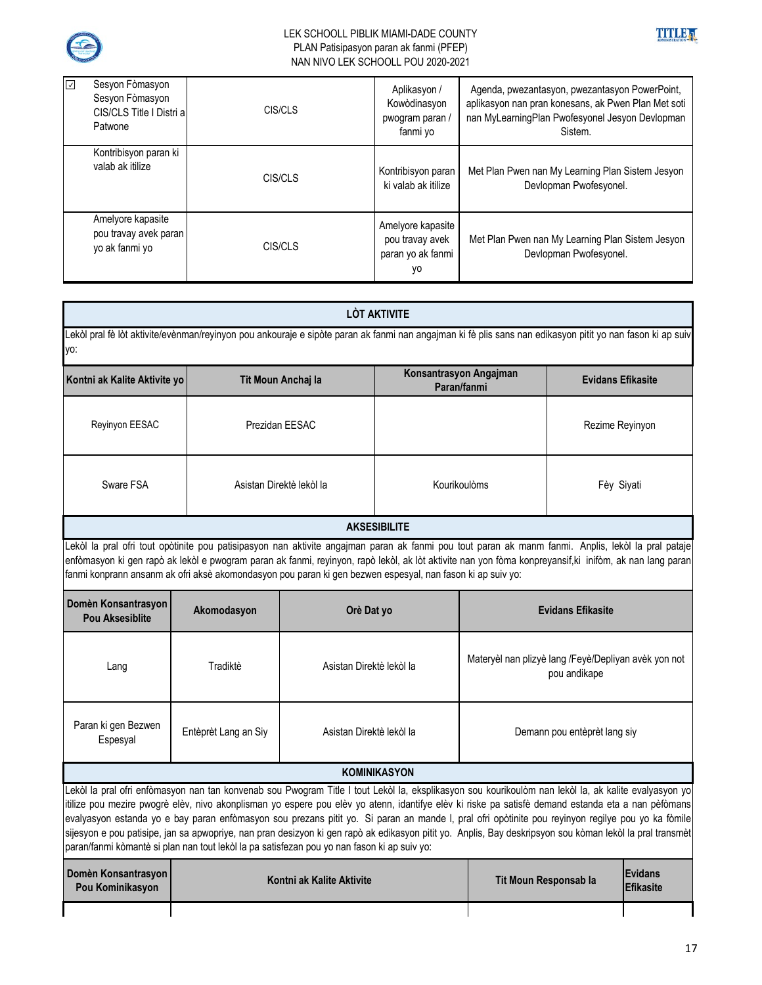



| $\overline{\vee}$<br>Sesyon Fòmasyon<br>Sesyon Fòmasyon<br>CIS/CLS Title I Distri al<br>Patwone | CIS/CLS | Aplikasyon /<br>Kowòdinasyon<br>pwogram paran /<br>fanmi yo     | Agenda, pwezantasyon, pwezantasyon PowerPoint,<br>aplikasyon nan pran konesans, ak Pwen Plan Met soti<br>nan MyLearningPlan Pwofesyonel Jesyon Devlopman<br>Sistem. |
|-------------------------------------------------------------------------------------------------|---------|-----------------------------------------------------------------|---------------------------------------------------------------------------------------------------------------------------------------------------------------------|
| Kontribisyon paran ki<br>valab ak itilize                                                       | CIS/CLS | Kontribisyon paran<br>ki valab ak itilize                       | Met Plan Pwen nan My Learning Plan Sistem Jesyon<br>Devlopman Pwofesyonel.                                                                                          |
| Amelyore kapasite<br>pou travay avek paran<br>yo ak fanmi yo                                    | CIS/CLS | Amelyore kapasite<br>pou travay avek<br>paran yo ak fanmi<br>yo | Met Plan Pwen nan My Learning Plan Sistem Jesyon<br>Devlopman Pwofesyonel.                                                                                          |

| <b>LÒT AKTIVITE</b>                                                                                                                                                                                                                                                                                                                                                                                                                                                                                                                                                                                                                                                                                                        |                      |                           |                                       |                                                                      |                          |                                    |  |
|----------------------------------------------------------------------------------------------------------------------------------------------------------------------------------------------------------------------------------------------------------------------------------------------------------------------------------------------------------------------------------------------------------------------------------------------------------------------------------------------------------------------------------------------------------------------------------------------------------------------------------------------------------------------------------------------------------------------------|----------------------|---------------------------|---------------------------------------|----------------------------------------------------------------------|--------------------------|------------------------------------|--|
| Lekòl pral fè lòt aktivite/evènman/reyinyon pou ankouraje e sipòte paran ak fanmi nan angajman ki fè plis sans nan edikasyon pitit yo nan fason ki ap suiv<br>yo:                                                                                                                                                                                                                                                                                                                                                                                                                                                                                                                                                          |                      |                           |                                       |                                                                      |                          |                                    |  |
| Kontni ak Kalite Aktivite yo                                                                                                                                                                                                                                                                                                                                                                                                                                                                                                                                                                                                                                                                                               |                      | Tit Moun Anchaj la        | Konsantrasyon Angajman<br>Paran/fanmi |                                                                      | <b>Evidans Efikasite</b> |                                    |  |
| Reyinyon EESAC                                                                                                                                                                                                                                                                                                                                                                                                                                                                                                                                                                                                                                                                                                             |                      | Prezidan EESAC            |                                       |                                                                      | Rezime Reyinyon          |                                    |  |
| Sware FSA                                                                                                                                                                                                                                                                                                                                                                                                                                                                                                                                                                                                                                                                                                                  |                      | Asistan Direktè lekòl la  | Kourikoulòms                          |                                                                      | Fèy Siyati               |                                    |  |
|                                                                                                                                                                                                                                                                                                                                                                                                                                                                                                                                                                                                                                                                                                                            |                      |                           | <b>AKSESIBILITE</b>                   |                                                                      |                          |                                    |  |
| Lekòl la pral ofri tout opòtinite pou patisipasyon nan aktivite angajman paran ak fanmi pou tout paran ak manm fanmi. Anplis, lekòl la pral pataje<br>enfòmasyon ki gen rapò ak lekòl e pwogram paran ak fanmi, reyinyon, rapò lekòl, ak lòt aktivite nan yon fòma konpreyansif,ki inifòm, ak nan lang paran<br>fanmi konprann ansanm ak ofri aksè akomondasyon pou paran ki gen bezwen espesyal, nan fason ki ap suiv yo:                                                                                                                                                                                                                                                                                                 |                      |                           |                                       |                                                                      |                          |                                    |  |
| Domèn Konsantrasyon<br><b>Pou Aksesiblite</b>                                                                                                                                                                                                                                                                                                                                                                                                                                                                                                                                                                                                                                                                              | Akomodasyon          | Orè Dat yo                |                                       | <b>Evidans Efikasite</b>                                             |                          |                                    |  |
| Lang                                                                                                                                                                                                                                                                                                                                                                                                                                                                                                                                                                                                                                                                                                                       | Tradiktè             | Asistan Direktè lekòl la  |                                       | Materyèl nan plizyè lang /Feyè/Depliyan avèk yon not<br>pou andikape |                          |                                    |  |
| Paran ki gen Bezwen<br>Espesyal                                                                                                                                                                                                                                                                                                                                                                                                                                                                                                                                                                                                                                                                                            | Entèprèt Lang an Siy | Asistan Direktè lekòl la  |                                       | Demann pou entèprèt lang siy                                         |                          |                                    |  |
| <b>KOMINIKASYON</b>                                                                                                                                                                                                                                                                                                                                                                                                                                                                                                                                                                                                                                                                                                        |                      |                           |                                       |                                                                      |                          |                                    |  |
| Lekòl la pral ofri enfòmasyon nan tan konvenab sou Pwogram Title I tout Lekòl la, eksplikasyon sou kourikoulòm nan lekòl la, ak kalite evalyasyon yo<br>itilize pou mezire pwogrè elèv, nivo akonplisman yo espere pou elèv yo atenn, idantifye elèv ki riske pa satisfè demand estanda eta a nan pèfòmans<br>evalyasyon estanda yo e bay paran enfòmasyon sou prezans pitit yo. Si paran an mande I, pral ofri opòtinite pou reyinyon regilye pou yo ka fòmile<br>sijesyon e pou patisipe, jan sa apwopriye, nan pran desizyon ki gen rapò ak edikasyon pitit yo. Anplis, Bay deskripsyon sou kòman lekòl la pral transmèt<br>paran/fanmi kòmantè si plan nan tout lekòl la pa satisfezan pou yo nan fason ki ap suiv yo: |                      |                           |                                       |                                                                      |                          |                                    |  |
| Domèn Konsantrasyon<br>Pou Kominikasyon                                                                                                                                                                                                                                                                                                                                                                                                                                                                                                                                                                                                                                                                                    |                      | Kontni ak Kalite Aktivite |                                       | Tit Moun Responsab la                                                |                          | <b>Evidans</b><br><b>Efikasite</b> |  |
|                                                                                                                                                                                                                                                                                                                                                                                                                                                                                                                                                                                                                                                                                                                            |                      |                           |                                       |                                                                      |                          |                                    |  |